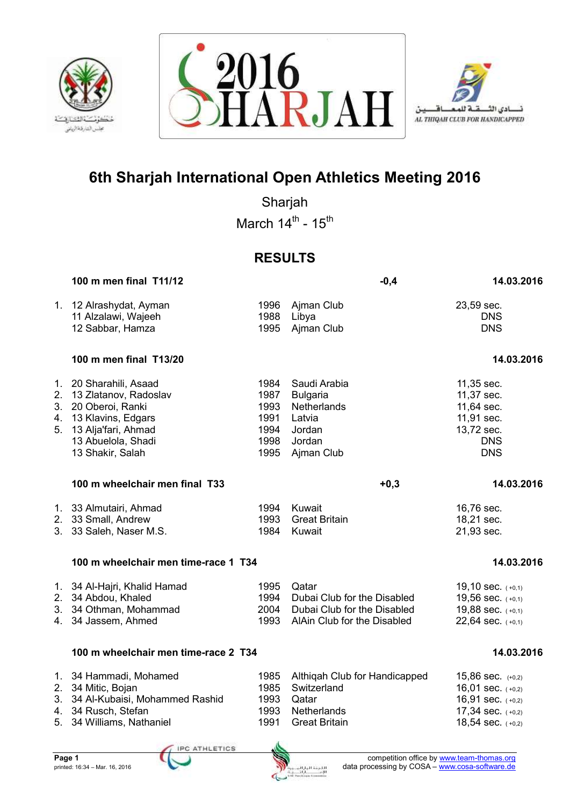





Sharjah March  $14^{\text{th}}$  -  $15^{\text{th}}$ 

## **RESULTS**

|    | 100 m men final T11/12                                                                                                                                              |                                                      | $-0,4$                                                                                             | 14.03.2016                                                                                                    |
|----|---------------------------------------------------------------------------------------------------------------------------------------------------------------------|------------------------------------------------------|----------------------------------------------------------------------------------------------------|---------------------------------------------------------------------------------------------------------------|
|    | 1. 12 Alrashydat, Ayman<br>11 Alzalawi, Wajeeh<br>12 Sabbar, Hamza                                                                                                  | 1996<br>1988<br>1995                                 | Ajman Club<br>Libya<br>Ajman Club                                                                  | 23,59 sec.<br><b>DNS</b><br><b>DNS</b>                                                                        |
|    | 100 m men final T13/20                                                                                                                                              |                                                      |                                                                                                    | 14.03.2016                                                                                                    |
| 5. | 1. 20 Sharahili, Asaad<br>2. 13 Zlatanov, Radoslav<br>3. 20 Oberoi, Ranki<br>4. 13 Klavins, Edgars<br>13 Alja'fari, Ahmad<br>13 Abuelola, Shadi<br>13 Shakir, Salah | 1984<br>1987<br>1993<br>1991<br>1994<br>1998<br>1995 | Saudi Arabia<br><b>Bulgaria</b><br>Netherlands<br>Latvia<br>Jordan<br>Jordan<br>Ajman Club         | 11,35 sec.<br>11,37 sec.<br>11,64 sec.<br>11,91 sec.<br>13,72 sec.<br><b>DNS</b><br><b>DNS</b>                |
|    | 100 m wheelchair men final T33                                                                                                                                      |                                                      | $+0,3$                                                                                             | 14.03.2016                                                                                                    |
|    | 1. 33 Almutairi, Ahmad<br>2. 33 Small, Andrew<br>3. 33 Saleh, Naser M.S.                                                                                            | 1994<br>1993<br>1984                                 | Kuwait<br><b>Great Britain</b><br>Kuwait                                                           | 16,76 sec.<br>18,21 sec.<br>21,93 sec.                                                                        |
|    | 100 m wheelchair men time-race 1 T34                                                                                                                                |                                                      |                                                                                                    | 14.03.2016                                                                                                    |
|    | 1. 34 Al-Hajri, Khalid Hamad<br>2. 34 Abdou, Khaled<br>3. 34 Othman, Mohammad<br>4. 34 Jassem, Ahmed                                                                | 1995<br>1994<br>2004<br>1993                         | Qatar<br>Dubai Club for the Disabled<br>Dubai Club for the Disabled<br>AlAin Club for the Disabled | 19,10 sec. (+0,1)<br>19,56 sec. (+0,1)<br>19,88 sec. (+0,1)<br>22,64 sec. $(+0,1)$                            |
|    | 100 m wheelchair men time-race 2 T34                                                                                                                                |                                                      |                                                                                                    | 14.03.2016                                                                                                    |
|    | 1. 34 Hammadi, Mohamed<br>2. 34 Mitic, Bojan<br>3. 34 Al-Kubaisi, Mohammed Rashid<br>4. 34 Rusch, Stefan<br>5. 34 Williams, Nathaniel                               | 1985<br>1985<br>1993<br>1993<br>1991                 | Althiqah Club for Handicapped<br>Switzerland<br>Qatar<br>Netherlands<br><b>Great Britain</b>       | 15,86 sec. $(+0,2)$<br>16,01 sec. $(+0,2)$<br>16,91 sec. $(+0,2)$<br>17,34 sec. $(+0,2)$<br>18,54 sec. (+0,2) |
|    | <b>CONTRACTOR</b> CONTRACTOR                                                                                                                                        | A                                                    |                                                                                                    |                                                                                                               |

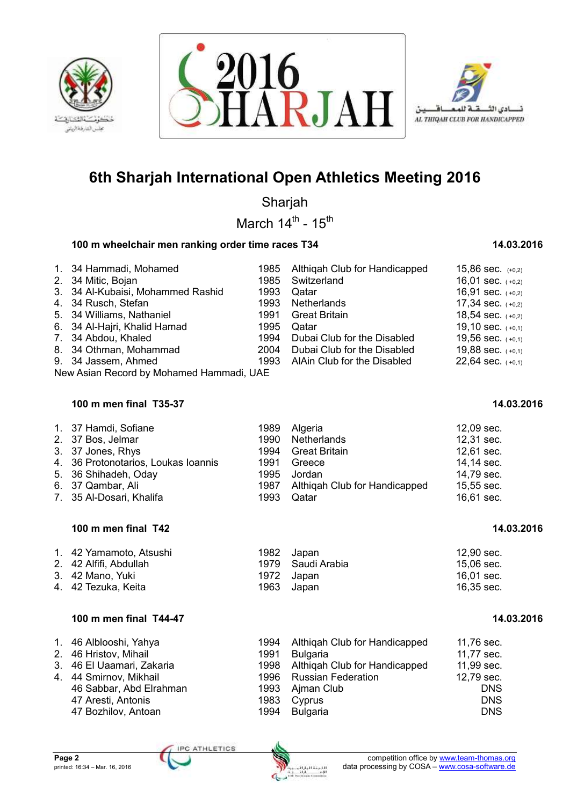





Sharjah

March  $14^{\text{th}}$  -  $15^{\text{th}}$ 

## **100 m wheelchair men ranking order time races T34 14.03.2016** 14.03.2016

| 1. 34 Hammadi, Mohamed            |      | 1985 Althigah Club for Handicapped | 15,86 sec. $(+0,2)$   |
|-----------------------------------|------|------------------------------------|-----------------------|
| 2. 34 Mitic, Bojan                |      | 1985 Switzerland                   | 16,01 sec. $(+0,2)$   |
| 3. 34 Al-Kubaisi, Mohammed Rashid | 1993 | Qatar                              | 16,91 sec. $(+0,2)$   |
| 4. 34 Rusch, Stefan               |      | 1993 Netherlands                   | 17,34 sec. $(+0,2)$   |
| 5. 34 Williams, Nathaniel         |      | 1991 Great Britain                 | 18,54 sec. $(+0,2)$   |
| 6. 34 Al-Hajri, Khalid Hamad      | 1995 | Qatar                              | 19,10 sec. $(+0,1)$   |
| 7. 34 Abdou, Khaled               | 1994 | Dubai Club for the Disabled        | 19,56 sec. $(+0,1)$   |
| 8. 34 Othman, Mohammad            | 2004 | Dubai Club for the Disabled        | 19,88 sec. $(+0,1)$   |
| 9. 34 Jassem, Ahmed               |      | 1993 AlAin Club for the Disabled   | $22,64$ sec. $(+0,1)$ |
|                                   |      |                                    |                       |

New Asian Record by Mohamed Hammadi, UAE

## **100 m men final T35-37 14.03.2016**

## **100 m men final T42 14.03.2016 16.03.2016**

| 1. 42 Yamamoto, Atsushi | 1982 | Japan             | 12.90 sec. |
|-------------------------|------|-------------------|------------|
| 2. 42 Alfifi, Abdullah  |      | 1979 Saudi Arabia | 15.06 sec. |
| 3. 42 Mano, Yuki        |      | 1972 Japan        | 16.01 sec. |
| 4. 42 Tezuka, Keita     | 1963 | Japan             | 16,35 sec. |

## **100 m men final T44-47 14.03.2016**

| 1. 46 Alblooshi, Yahya    | 1994 | Althigah Club for Handicapped      | 11,76 sec. |
|---------------------------|------|------------------------------------|------------|
| 2. 46 Hristov, Mihail     | 1991 | <b>Bulgaria</b>                    | 11,77 sec. |
| 3. 46 El Uaamari, Zakaria |      | 1998 Althigah Club for Handicapped | 11,99 sec. |
| 4. 44 Smirnov, Mikhail    |      | 1996 Russian Federation            | 12,79 sec. |
| 46 Sabbar, Abd Elrahman   |      | 1993 Ajman Club                    | <b>DNS</b> |
| 47 Aresti, Antonis        | 1983 | Cyprus                             | <b>DNS</b> |
| 47 Bozhilov, Antoan       | 1994 | Bulgaria                           | <b>DNS</b> |

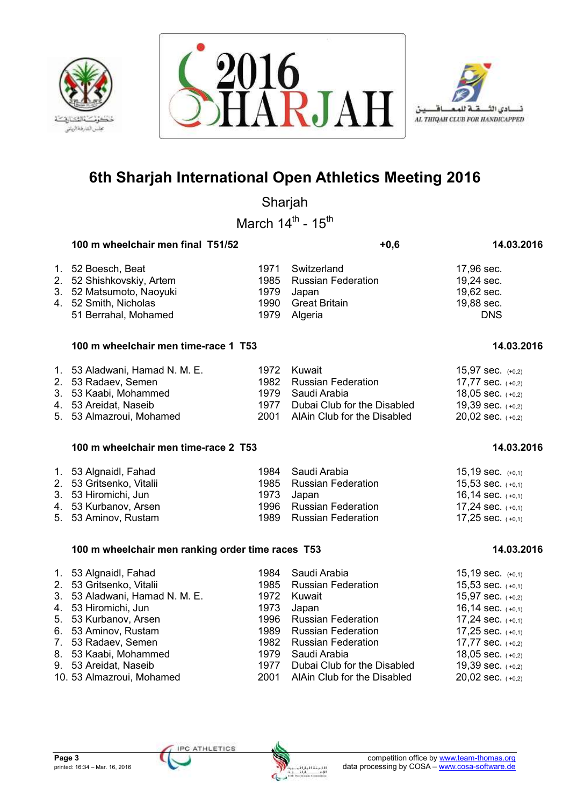





Sharjah

March  $14^{\text{th}}$  -  $15^{\text{th}}$ 

| 100 m wheelchair men final T51/52                                                                                            |                                      | $+0,6$                                                                               | 14.03.2016                                                         |
|------------------------------------------------------------------------------------------------------------------------------|--------------------------------------|--------------------------------------------------------------------------------------|--------------------------------------------------------------------|
| 1. 52 Boesch, Beat<br>2. 52 Shishkovskiy, Artem<br>3. 52 Matsumoto, Naoyuki<br>4. 52 Smith, Nicholas<br>51 Berrahal, Mohamed | 1971<br>1985<br>1979<br>1990<br>1979 | Switzerland<br><b>Russian Federation</b><br>Japan<br><b>Great Britain</b><br>Algeria | 17,96 sec.<br>19,24 sec.<br>19,62 sec.<br>19,88 sec.<br><b>DNS</b> |
| 100 m wheelchair men time-race 1 T53                                                                                         |                                      |                                                                                      | 14.03.2016                                                         |
| 1. 53 Aladwani, Hamad N. M. E.                                                                                               | 1972                                 | Kuwait                                                                               | 15,97 sec. $(+0,2)$                                                |

| T. OS Alduwahi, Hamau N. M. E. | <b>1972 NUWAIL</b>               | $13.91$ SCC. $(+0.2)$ |
|--------------------------------|----------------------------------|-----------------------|
| 2. 53 Radaev, Semen            | 1982 Russian Federation          | 17,77 sec. $(+0,2)$   |
| 3. 53 Kaabi, Mohammed          | 1979 Saudi Arabia                | 18,05 sec. $(+0,2)$   |
| 4. 53 Areidat, Naseib          | 1977 Dubai Club for the Disabled | 19,39 sec. $(+0,2)$   |
| 5. 53 Almazroui, Mohamed       | 2001 AlAin Club for the Disabled | $20,02$ sec. $(+0,2)$ |

### **100 m wheelchair men time-race 2 T53 14.03.2016 14.03.2016**

| 1. 53 Algnaidl, Fahad<br>2. 53 Gritsenko, Vitalii<br>3. 53 Hiromichi, Jun | 1984 Saudi Arabia<br>1985 Russian Federation<br>1973 Japan | $15,19$ sec. $(+0,1)$<br>$15,53$ sec. $(+0,1)$<br>16,14 sec. $(+0,1)$ |
|---------------------------------------------------------------------------|------------------------------------------------------------|-----------------------------------------------------------------------|
| 4. 53 Kurbanov, Arsen                                                     | 1996 Russian Federation                                    | 17,24 sec. $(+0,1)$                                                   |
| 5. 53 Aminov, Rustam                                                      | 1989 Russian Federation                                    | 17,25 sec. $(+0,1)$                                                   |

## **100 m wheelchair men ranking order time races T53 14.03.2016**

| 1. 53 Algnaidl, Fahad<br>2. 53 Gritsenko, Vitalii<br>3. 53 Aladwani, Hamad N. M. E.<br>4. 53 Hiromichi, Jun<br>5. 53 Kurbanov, Arsen<br>6. 53 Aminov, Rustam<br>7. 53 Radaev, Semen<br>8. 53 Kaabi, Mohammed | 1973 | 1984 Saudi Arabia<br>1985 Russian Federation<br>1972 Kuwait<br>Japan<br>1996 Russian Federation<br>1989 Russian Federation<br>1982 Russian Federation<br>1979 Saudi Arabia | 15,19 sec. $(+0,1)$<br>15,53 sec. $(+0,1)$<br>15,97 sec. $(+0,2)$<br>16,14 sec. $(+0,1)$<br>17,24 sec. $(+0,1)$<br>17,25 sec. $(+0,1)$<br>17,77 sec. $(+0,2)$ |
|--------------------------------------------------------------------------------------------------------------------------------------------------------------------------------------------------------------|------|----------------------------------------------------------------------------------------------------------------------------------------------------------------------------|---------------------------------------------------------------------------------------------------------------------------------------------------------------|
|                                                                                                                                                                                                              |      |                                                                                                                                                                            | 18,05 sec. $(+0,2)$                                                                                                                                           |
| 9. 53 Areidat, Naseib                                                                                                                                                                                        | 1977 | Dubai Club for the Disabled                                                                                                                                                | 19,39 sec. $(+0,2)$                                                                                                                                           |
| 10. 53 Almazroui, Mohamed                                                                                                                                                                                    |      | 2001 AlAin Club for the Disabled                                                                                                                                           | 20,02 sec. $(+0,2)$                                                                                                                                           |

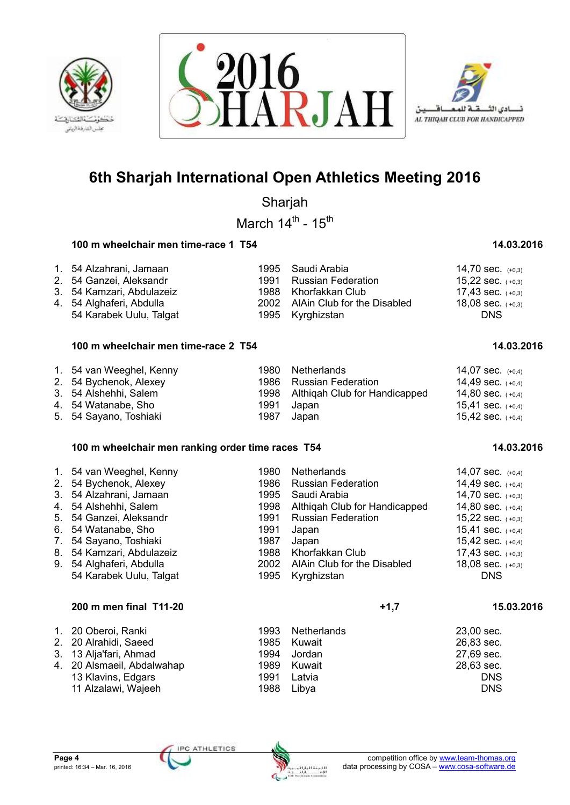





Sharjah

March  $14^{\text{th}}$  -  $15^{\text{th}}$ 

## **100 m wheelchair men time-race 1 T54 14.03.2016** 100 m  $\frac{14.03.2016}{14.03.2016}$

## 1. 54 Alzahrani, Jamaan 1995 Saudi Arabia 14,70 sec. (+0,3)

| 2. 54 Ganzei, Aleksandr    | 1991 Russian Federation          | 15,22 sec. $(+0,3)$ |
|----------------------------|----------------------------------|---------------------|
| 3. 54 Kamzari, Abdulazeiz  | 1988 Khorfakkan Club             | 17,43 sec. $(+0,3)$ |
| 4.   54 Alghaferi, Abdulla | 2002 AlAin Club for the Disabled | 18,08 sec. $(+0,3)$ |
| 54 Karabek Uulu, Talgat    | 1995 Kyrghizstan                 | <b>DNS</b>          |

## **100 m wheelchair men time-race 2 T54 14.03.2016** 100 m  $\frac{14.03.2016}{14.03.2016}$

### 1. 54 van Weeghel, Kenny 1980 Netherlands 14,07 sec. (+0,4) 2. 54 Bychenok, Alexey 1986 Russian Federation 14,49 sec. (+0,4) 3. 54 Alshehhi, Salem 1998 Althigah Club for Handicapped 14,80 sec. (+0,4) 4. 54 Watanabe, Sho 1991 Japan 15,41 sec. ( +0,4) 5. 54 Sayano, Toshiaki 1987 Japan

## **100 m wheelchair men ranking order time races T54 14.03.2016** 14.03.2016

| 1. 54 van Weeghel, Kenny<br>2. 54 Bychenok, Alexey<br>3. 54 Alzahrani, Jamaan<br>4. 54 Alshehhi, Salem<br>5. 54 Ganzei, Aleksandr<br>6. 54 Watanabe, Sho<br>7. 54 Sayano, Toshiaki<br>8. 54 Kamzari, Abdulazeiz<br>9. 54 Alghaferi, Abdulla | 1980.<br>1986.<br>1995<br>1991<br>1991<br>1987<br>1988. | <b>Netherlands</b><br><b>Russian Federation</b><br>Saudi Arabia<br>1998 Althigah Club for Handicapped<br><b>Russian Federation</b><br>Japan<br>Japan<br>Khorfakkan Club<br>2002 AlAin Club for the Disabled | 14,07 sec. $(+0,4)$<br>14,49 sec. $(+0,4)$<br>14,70 sec. $(+0,3)$<br>14,80 sec. $(+0,4)$<br>15,22 sec. $(+0,3)$<br>15,41 sec. $(+0,4)$<br>15,42 sec. $(+0,4)$<br>17,43 sec. $(+0,3)$<br>18,08 sec. $(+0,3)$ |
|---------------------------------------------------------------------------------------------------------------------------------------------------------------------------------------------------------------------------------------------|---------------------------------------------------------|-------------------------------------------------------------------------------------------------------------------------------------------------------------------------------------------------------------|-------------------------------------------------------------------------------------------------------------------------------------------------------------------------------------------------------------|
| 54 Karabek Uulu, Talgat                                                                                                                                                                                                                     |                                                         | 1995 Kyrghizstan                                                                                                                                                                                            | <b>DNS</b>                                                                                                                                                                                                  |

## **200 m men final T11-20 +1,7 15.03.2016**

| 1. 20 Oberoi, Ranki<br>2. 20 Alrahidi, Saeed<br>3. 13 Alja'fari, Ahmad<br>4. 20 Alsmaeil, Abdalwahap<br>13 Klavins, Edgars | 1993 Netherlands<br>1985 Kuwait<br>1994 Jordan<br>1989 Kuwait<br>1991 Latvia | 23,00 sec.<br>26,83 sec.<br>27,69 sec.<br>28,63 sec.<br><b>DNS</b> |
|----------------------------------------------------------------------------------------------------------------------------|------------------------------------------------------------------------------|--------------------------------------------------------------------|
| 11 Alzalawi, Wajeeh                                                                                                        | 1988 Libya                                                                   | <b>DNS</b>                                                         |

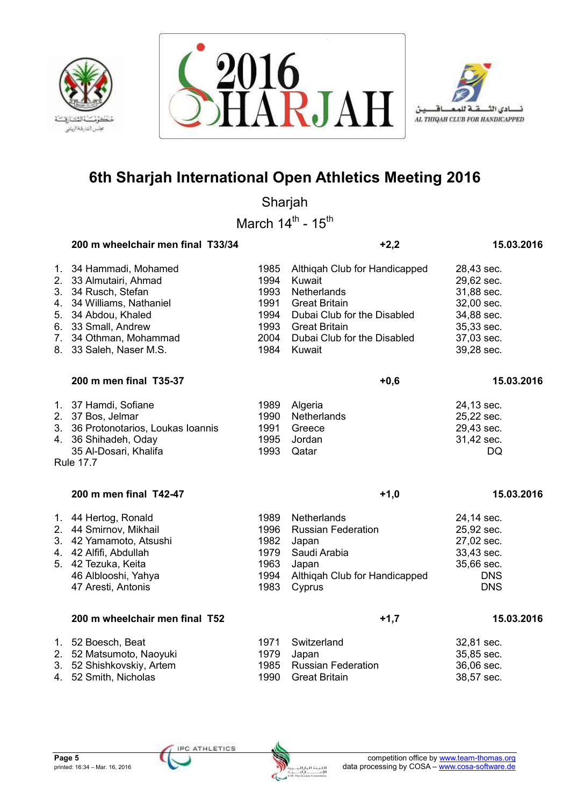





Sharjah

March  $14^{\text{th}}$  -  $15^{\text{th}}$ 

|                | 200 m wheelchair men final T33/34                                                                                                                                                              |                                                              | $+2,2$                                                                                                                                                                         | 15.03.2016                                                                                                   |
|----------------|------------------------------------------------------------------------------------------------------------------------------------------------------------------------------------------------|--------------------------------------------------------------|--------------------------------------------------------------------------------------------------------------------------------------------------------------------------------|--------------------------------------------------------------------------------------------------------------|
| 4.<br>5.<br>7. | 1. 34 Hammadi, Mohamed<br>2. 33 Almutairi, Ahmad<br>3. 34 Rusch, Stefan<br>34 Williams, Nathaniel<br>34 Abdou, Khaled<br>6. 33 Small, Andrew<br>34 Othman, Mohammad<br>8. 33 Saleh, Naser M.S. | 1985<br>1994<br>1993<br>1991<br>1994<br>1993<br>2004<br>1984 | Althiqah Club for Handicapped<br>Kuwait<br>Netherlands<br><b>Great Britain</b><br>Dubai Club for the Disabled<br><b>Great Britain</b><br>Dubai Club for the Disabled<br>Kuwait | 28,43 sec.<br>29,62 sec.<br>31,88 sec.<br>32,00 sec.<br>34,88 sec.<br>35,33 sec.<br>37,03 sec.<br>39,28 sec. |
|                | 200 m men final T35-37                                                                                                                                                                         |                                                              | $+0,6$                                                                                                                                                                         | 15.03.2016                                                                                                   |
|                | 1. 37 Hamdi, Sofiane<br>2. 37 Bos, Jelmar<br>3. 36 Protonotarios, Loukas Ioannis<br>4. 36 Shihadeh, Oday<br>35 Al-Dosari, Khalifa<br><b>Rule 17.7</b>                                          | 1989<br>1990<br>1991<br>1995<br>1993                         | Algeria<br>Netherlands<br>Greece<br>Jordan<br>Qatar                                                                                                                            | 24,13 sec.<br>25,22 sec.<br>29,43 sec.<br>31,42 sec.<br><b>DQ</b>                                            |
|                | 200 m men final T42-47                                                                                                                                                                         |                                                              | $+1,0$                                                                                                                                                                         | 15.03.2016                                                                                                   |
|                | 1. 44 Hertog, Ronald<br>2. 44 Smirnov, Mikhail<br>3. 42 Yamamoto, Atsushi<br>4. 42 Alfifi, Abdullah<br>5. 42 Tezuka, Keita<br>46 Alblooshi, Yahya<br>47 Aresti, Antonis                        | 1989<br>1996<br>1982<br>1979<br>1963<br>1994<br>1983         | Netherlands<br><b>Russian Federation</b><br>Japan<br>Saudi Arabia<br>Japan<br>Althiqah Club for Handicapped<br>Cyprus                                                          | 24,14 sec.<br>25,92 sec.<br>27,02 sec.<br>33,43 sec.<br>35,66 sec.<br><b>DNS</b><br><b>DNS</b>               |
|                | 200 m wheelchair men final T52                                                                                                                                                                 |                                                              | $+1,7$                                                                                                                                                                         | 15.03.2016                                                                                                   |
|                | 1. 52 Boesch, Beat<br>2. 52 Matsumoto, Naoyuki<br>3. 52 Shishkovskiy, Artem<br>4. 52 Smith, Nicholas                                                                                           | 1971<br>1979<br>1985<br>1990                                 | Switzerland<br>Japan<br><b>Russian Federation</b><br><b>Great Britain</b>                                                                                                      | 32,81 sec.<br>35,85 sec.<br>36,06 sec.<br>38,57 sec.                                                         |



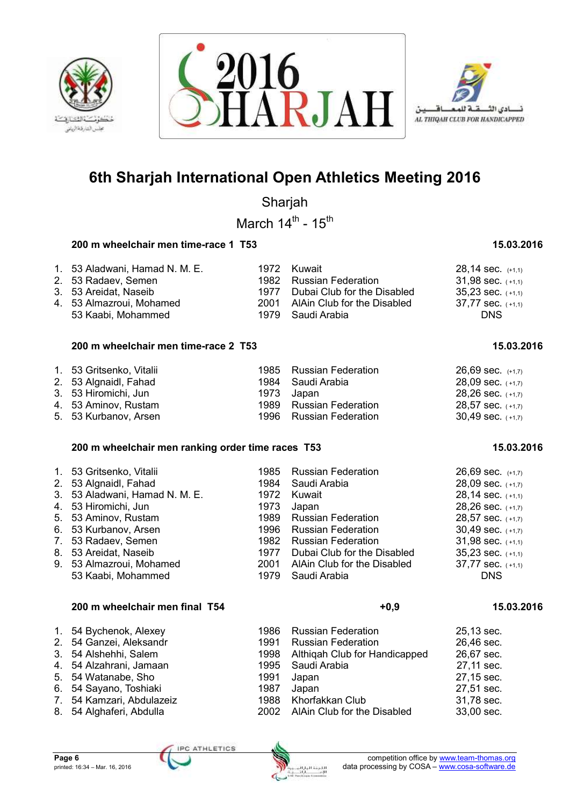





Sharjah

March  $14^{\text{th}}$  -  $15^{\text{th}}$ 

## **200 m wheelchair men time-race 1 T53 15.03.2016**

## 1. 53 Aladwani, Hamad N. M. E.  $1972$  Kuwait 28,14 sec.  $(1,1)$ <br>
2. 53 Radaev, Semen 1982 Russian Federation 31,98 sec.  $(1,1)$ 2. 53 Radaev, Semen<br>3. 53 Areidat, Naseib 1977 Dubai Club for the Disabled  $35,23$  sec.  $(+1,1)$ 4. 53 Almazroui, Mohamed 2001 AlAin Club for the Disabled 37,77 sec. (+1,1)<br>53 Kaabi, Mohammed 1979 Saudi Arabia 53 Kaabi, Mohammed

### **200 m wheelchair men time-race 2 T53 15.03.2016**

| 1. 53 Gritsenko, Vitalii | 1985 Russian Federation | $26.69$ sec. $(+1.7)$ |
|--------------------------|-------------------------|-----------------------|
| 2. 53 Algnaidl, Fahad    | 1984 Saudi Arabia       | $28,09$ sec. $(+1,7)$ |
| 3. 53 Hiromichi, Jun     | 1973 Japan              | $28,26$ sec. $(+1,7)$ |
| 4. 53 Aminov, Rustam     | 1989 Russian Federation | $28,57$ sec. $(+1,7)$ |
| 5. 53 Kurbanov, Arsen    | 1996 Russian Federation | $30,49$ sec. $(+1,7)$ |

## **200 m wheelchair men ranking order time races T53 15.03.2016 15.03.2016**

| 1. 53 Gritsenko, Vitalii       | 1985   | <b>Russian Federation</b>   | $26,69$ sec. $(+1,7)$ |
|--------------------------------|--------|-----------------------------|-----------------------|
| 2. 53 Algnaidl, Fahad          | 1984   | Saudi Arabia                | $28,09$ sec. $(+1,7)$ |
| 3. 53 Aladwani, Hamad N. M. E. | 1972   | Kuwait                      | $28,14$ sec. $(+1,1)$ |
| 4. 53 Hiromichi, Jun           | 1973   | Japan                       | $28,26$ sec. $(+1,7)$ |
| 5. 53 Aminov, Rustam           | 1989 - | <b>Russian Federation</b>   | $28,57$ sec. $(+1,7)$ |
| 6. 53 Kurbanov, Arsen          | 1996   | <b>Russian Federation</b>   | $30.49$ sec. $(+1,7)$ |
| 7. 53 Radaev, Semen            | 1982   | <b>Russian Federation</b>   | $31,98$ sec. $(+1,1)$ |
| 8. 53 Areidat, Naseib          | 1977   | Dubai Club for the Disabled | $35.23$ sec. $(+1,1)$ |
| 9. 53 Almazroui, Mohamed       | 2001   | AlAin Club for the Disabled | $37,77$ sec. $(+1,1)$ |
| 53 Kaabi, Mohammed             | 1979.  | Saudi Arabia                | <b>DNS</b>            |

## **200 m wheelchair men final T54 +0,9 15.03.2016**

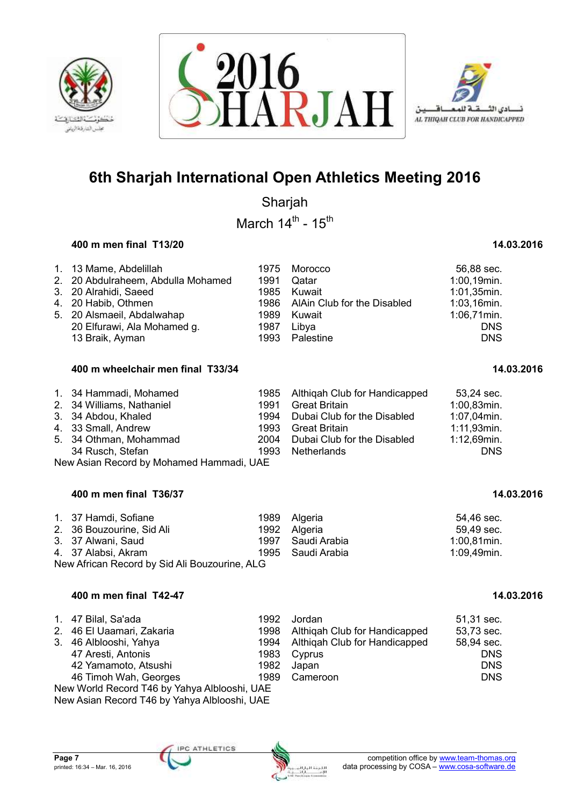





Sharjah

March  $14^{\text{th}}$  -  $15^{\text{th}}$ 

## **400 m men final T13/20 14.03.2016**

| 1. 13 Mame, Abdelillah             |      | 1975 Morocco                     | 56,88 sec.     |
|------------------------------------|------|----------------------------------|----------------|
| 2. 20 Abdulraheem, Abdulla Mohamed |      | 1991 Qatar                       | 1:00,19min.    |
| 3. 20 Alrahidi, Saeed              |      | 1985 Kuwait                      | 1:01,35min.    |
| 4. 20 Habib, Othmen                |      | 1986 AlAin Club for the Disabled | $1:03,16$ min. |
| 5. 20 Alsmaeil, Abdalwahap         |      | 1989 Kuwait                      | 1:06,71min.    |
| 20 Elfurawi, Ala Mohamed g.        | 1987 | Libva                            | <b>DNS</b>     |
| 13 Braik, Ayman                    | 1993 | Palestine                        | <b>DNS</b>     |

## **400 m wheelchair men final T33/34 14.03.2016**

| 1. 34 Hammadi, Mohamed<br>2. 34 Williams, Nathaniel<br>3. 34 Abdou, Khaled<br>4. 33 Small, Andrew | 1991<br>1993 | 1985 Althigah Club for Handicapped<br>Great Britain<br>1994 Dubai Club for the Disabled<br>Great Britain | 53,24 sec.<br>1:00,83min.<br>1:07,04min.<br>$1:11,93$ min. |
|---------------------------------------------------------------------------------------------------|--------------|----------------------------------------------------------------------------------------------------------|------------------------------------------------------------|
| 5. 34 Othman, Mohammad                                                                            |              | 2004 Dubai Club for the Disabled                                                                         | 1:12,69min.                                                |
| 34 Rusch, Stefan                                                                                  | 1993         | Netherlands                                                                                              | <b>DNS</b>                                                 |
| New Asian Record by Mohamed Hammadi, UAE                                                          |              |                                                                                                          |                                                            |

## **400 m men final T36/37 14.03.2016**

| 1. 37 Hamdi, Sofiane                          |  | 1989 Algeria      | 54.46 sec.     |  |  |  |
|-----------------------------------------------|--|-------------------|----------------|--|--|--|
| 2. 36 Bouzourine, Sid Ali                     |  | 1992 Algeria      | 59,49 sec.     |  |  |  |
| 3. 37 Alwani, Saud                            |  | 1997 Saudi Arabia | $1:00,81$ min. |  |  |  |
| 4. 37 Alabsi, Akram                           |  | 1995 Saudi Arabia | 1:09,49min.    |  |  |  |
| New African Record by Sid Ali Bouzourine, ALG |  |                   |                |  |  |  |

### **400 m men final T42-47 14.03.2016**

| 1. 47 Bilal, Sa'ada<br>2. 46 El Uaamari, Zakaria<br>3. 46 Alblooshi, Yahya<br>47 Aresti, Antonis<br>42 Yamamoto, Atsushi | 1998<br>1982 | 1992 Jordan<br>Althigah Club for Handicapped<br>1994 Althigah Club for Handicapped<br>1983 Cyprus<br>Japan | 51,31 sec.<br>53,73 sec.<br>58,94 sec.<br><b>DNS</b><br><b>DNS</b> |  |  |  |
|--------------------------------------------------------------------------------------------------------------------------|--------------|------------------------------------------------------------------------------------------------------------|--------------------------------------------------------------------|--|--|--|
| 46 Timoh Wah, Georges                                                                                                    |              | 1989 Cameroon                                                                                              | <b>DNS</b>                                                         |  |  |  |
| New World Record T46 by Yahya Alblooshi, UAE                                                                             |              |                                                                                                            |                                                                    |  |  |  |

New Asian Record T46 by Yahya Alblooshi, UAE

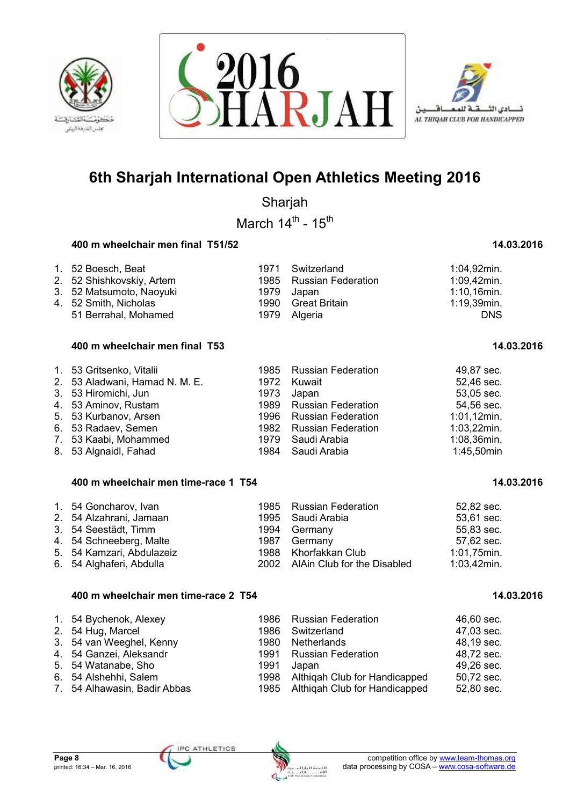





Sharjah

March  $14^{\text{th}}$  -  $15^{\text{th}}$ 

## **400 m wheelchair men final T51/52 14.03.2016** 14.03.2016

| 1. 52 Boesch, Beat        | 1971 Switzerland        | 1:04,92min.    |
|---------------------------|-------------------------|----------------|
| 2. 52 Shishkovskiy, Artem | 1985 Russian Federation | 1:09,42min.    |
| 3. 52 Matsumoto, Naoyuki  | 1979 Japan              | $1:10,16$ min. |
| 4. 52 Smith, Nicholas     | 1990 Great Britain      | 1:19,39min.    |
| 51 Berrahal, Mohamed      | 1979 Algeria            | <b>DNS</b>     |

### **400 m wheelchair men final T53 14.03.2016**

| 1. 53 Gritsenko, Vitalii       | 1985 Russian Federation | 49,87 sec.     |
|--------------------------------|-------------------------|----------------|
| 2. 53 Aladwani, Hamad N. M. E. | 1972 Kuwait             | 52,46 sec.     |
| 3. 53 Hiromichi, Jun           | 1973 Japan              | 53,05 sec.     |
| 4. 53 Aminov, Rustam           | 1989 Russian Federation | 54,56 sec.     |
| 5. 53 Kurbanov, Arsen          | 1996 Russian Federation | $1:01,12$ min. |
| 6. 53 Radaev, Semen            | 1982 Russian Federation | $1:03,22$ min. |
| 7. 53 Kaabi, Mohammed          | 1979 Saudi Arabia       | 1:08,36min.    |
| 8. 53 Algnaidl, Fahad          | 1984 Saudi Arabia       | 1:45,50min     |

### **400 m wheelchair men time-race 1 T54 14.03.2016** 14.03.2016

| 1. 54 Goncharov, Ivan     | 1985 Russian Federation          | 52,82 sec.     |
|---------------------------|----------------------------------|----------------|
| 2. 54 Alzahrani, Jamaan   | 1995 Saudi Arabia                | 53,61 sec.     |
| 3. 54 Seestädt, Timm      | 1994 Germany                     | 55,83 sec.     |
| 4. 54 Schneeberg, Malte   | 1987 Germany                     | 57,62 sec.     |
| 5. 54 Kamzari, Abdulazeiz | 1988 Khorfakkan Club             | 1:01,75min.    |
| 6. 54 Alghaferi, Abdulla  | 2002 AlAin Club for the Disabled | $1:03,42$ min. |

### **400 m wheelchair men time-race 2 T54 14.03.2016** 14.03.2016

| 1. 54 Bychenok, Alexey       |       | 1986 Russian Federation            | 46,60 sec. |
|------------------------------|-------|------------------------------------|------------|
| 2. 54 Hug, Marcel            | 1986  | Switzerland                        | 47,03 sec. |
| 3. 54 van Weeghel, Kenny     | 1980- | Netherlands                        | 48,19 sec. |
| 4. 54 Ganzei, Aleksandr      |       | 1991 Russian Federation            | 48,72 sec. |
| 5. 54 Watanabe, Sho          | 1991  | Japan                              | 49,26 sec. |
| 6. 54 Alshehhi, Salem        |       | 1998 Althigah Club for Handicapped | 50,72 sec. |
| 7. 54 Alhawasin, Badir Abbas |       | 1985 Althigah Club for Handicapped | 52,80 sec. |

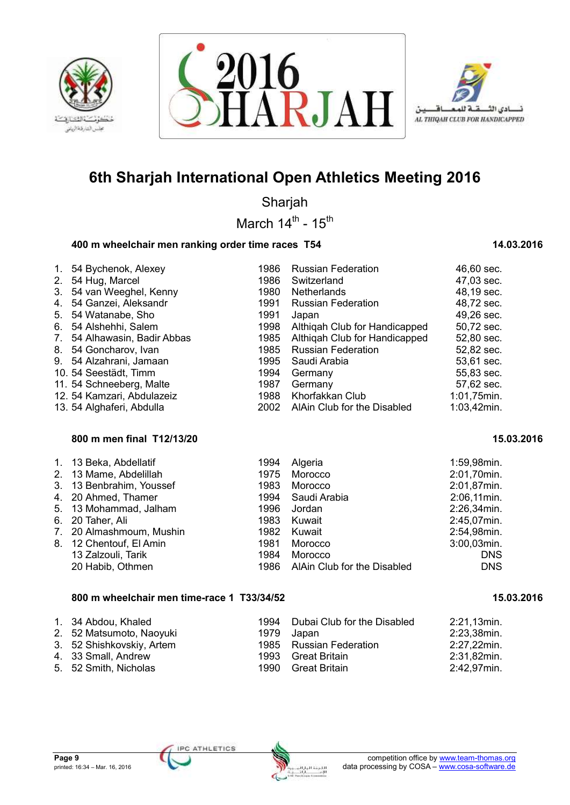





Sharjah

March  $14^{\text{th}}$  -  $15^{\text{th}}$ 

## **400 m wheelchair men ranking order time races T54 14.03.2016** 14.03.2016

| 1.                               | 54 Bychenok, Alexey        | 1986 | <b>Russian Federation</b>     | 46,60 sec.  |
|----------------------------------|----------------------------|------|-------------------------------|-------------|
| 2.                               | 54 Hug, Marcel             | 1986 | Switzerland                   | 47,03 sec.  |
| 3.                               | 54 van Weeghel, Kenny      | 1980 | <b>Netherlands</b>            | 48,19 sec.  |
| 4.                               | 54 Ganzei, Aleksandr       | 1991 | <b>Russian Federation</b>     | 48,72 sec.  |
| 5.                               | 54 Watanabe, Sho           | 1991 | Japan                         | 49,26 sec.  |
| 6.                               | 54 Alshehhi, Salem         | 1998 | Althigah Club for Handicapped | 50,72 sec.  |
| $7_{\scriptscriptstyle{\ddots}}$ | 54 Alhawasin, Badir Abbas  | 1985 | Althigah Club for Handicapped | 52,80 sec.  |
| 8.                               | 54 Goncharov, Ivan         | 1985 | <b>Russian Federation</b>     | 52,82 sec.  |
|                                  | 9. 54 Alzahrani, Jamaan    | 1995 | Saudi Arabia                  | 53,61 sec.  |
|                                  | 10. 54 Seestädt, Timm      | 1994 | Germany                       | 55,83 sec.  |
|                                  | 11. 54 Schneeberg, Malte   | 1987 | Germany                       | 57,62 sec.  |
|                                  | 12. 54 Kamzari, Abdulazeiz | 1988 | Khorfakkan Club               | 1:01,75min. |
|                                  | 13. 54 Alghaferi, Abdulla  | 2002 | AlAin Club for the Disabled   | 1:03,42min. |

## **800 m men final T12/13/20 15.03.2016**

| 1. 13 Beka, Abdellatif   | 1994 | Algeria                     | 1:59,98min. |
|--------------------------|------|-----------------------------|-------------|
| 2. 13 Mame, Abdelillah   | 1975 | Morocco                     | 2:01,70min. |
| 3. 13 Benbrahim, Youssef | 1983 | Morocco                     | 2:01,87min. |
| 4. 20 Ahmed, Thamer      | 1994 | Saudi Arabia                | 2:06,11min. |
| 5. 13 Mohammad, Jalham   | 1996 | Jordan                      | 2:26,34min. |
| 6. 20 Taher, Ali         | 1983 | Kuwait                      | 2:45,07min. |
| 7. 20 Almashmoum, Mushin | 1982 | Kuwait                      | 2:54,98min. |
| 8. 12 Chentouf, El Amin  | 1981 | Morocco                     | 3:00,03min. |
| 13 Zalzouli, Tarik       | 1984 | Morocco                     | <b>DNS</b>  |
| 20 Habib, Othmen         | 1986 | AlAin Club for the Disabled | <b>DNS</b>  |

## **800 m wheelchair men time-race 1 T33/34/52 15.03.2016**

| 1. 34 Abdou, Khaled<br>2. 52 Matsumoto, Naoyuki<br>3. 52 Shishkovskiy, Artem<br>4. 33 Small, Andrew | 1979 | 1994 Dubai Club for the Disabled<br>Japan<br>1985 Russian Federation<br>1993 Great Britain | 2:21,13min.<br>2:23,38min.<br>2:27,22min.<br>2:31,82min. |
|-----------------------------------------------------------------------------------------------------|------|--------------------------------------------------------------------------------------------|----------------------------------------------------------|
| 5. 52 Smith, Nicholas                                                                               |      | 1990 Great Britain                                                                         | 2:42,97min.                                              |

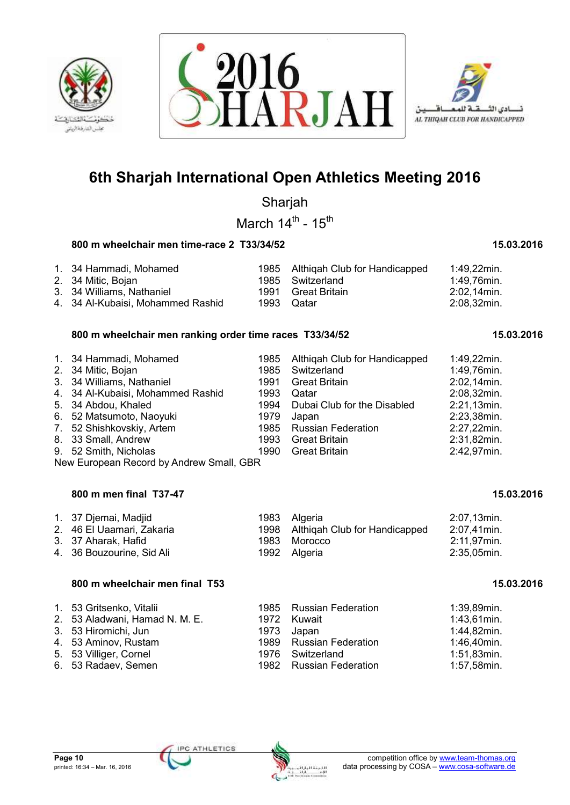





Sharjah

March  $14^{\text{th}}$  -  $15^{\text{th}}$ 

## **800 m wheelchair men time-race 2 T33/34/52 15.03.2016 15.03.2016**

## 1. 34 Hammadi, Mohamed 1985 Althiqah Club for Handicapped 1:49,22min.<br>1985 Switzerland 1:49,76min. 2. 34 Mitic, Bojan 1985 Switzerland<br>
3. 34 Williams, Nathaniel 1991 Great Britain 3. 34 Williams, Nathaniel 1991 Great Britain 2:02,14min. 4. 34 Al-Kubaisi, Mohammed Rashid 1993 Qatar 2:08,32min.

## **800 m wheelchair men ranking order time races T33/34/52 15.03.2016**

| 2:02,14min.<br>2:08,32min.<br>2:21,13min.<br>2:23,38min.<br>2:27,22min.<br>2:31,82min. |
|----------------------------------------------------------------------------------------|
| 2:42,97min.                                                                            |
|                                                                                        |

New European Record by Andrew Small, GBR

### **800 m men final T37-47 15.03.2016**

| 1. 37 Djemai, Madjid      | 1983 Algeria                       | 2:07,13min. |
|---------------------------|------------------------------------|-------------|
| 2. 46 El Uaamari, Zakaria | 1998 Althigah Club for Handicapped | 2:07,41min. |
| 3. 37 Aharak, Hafid       | 1983 Morocco                       | 2:11,97min. |
| 4. 36 Bouzourine, Sid Ali | 1992 Algeria                       | 2:35,05min. |

### **800 m wheelchair men final T53** 15.03.2016 **15.03.2016**

| 1. 53 Gritsenko, Vitalii       | 1985 Russian Federation | 1:39,89min.    |
|--------------------------------|-------------------------|----------------|
| 2. 53 Aladwani, Hamad N. M. E. | 1972 Kuwait             | $1:43,61$ min. |
| 3. 53 Hiromichi, Jun           | 1973 Japan              | 1:44,82min.    |
| 4. 53 Aminov, Rustam           | 1989 Russian Federation | 1:46,40min.    |
| 5. 53 Villiger, Cornel         | 1976 Switzerland        | 1:51,83min.    |
| 6. 53 Radaev, Semen            | 1982 Russian Federation | 1:57,58min.    |

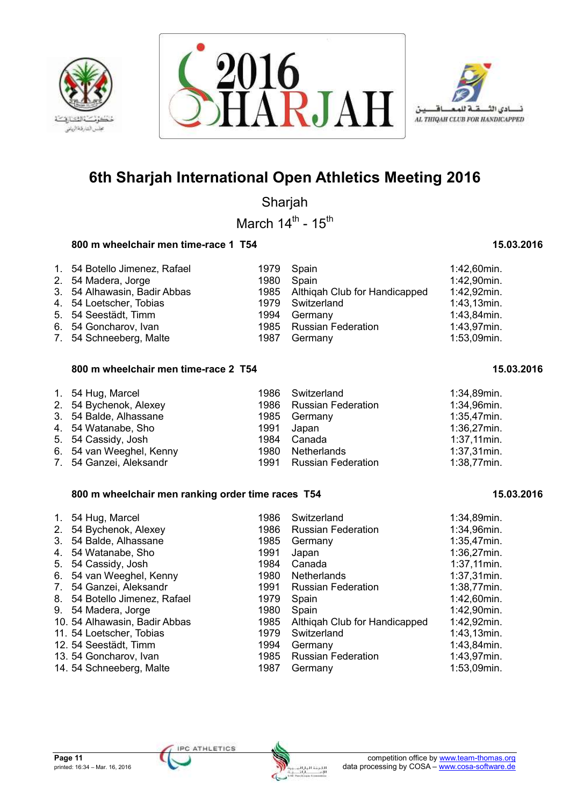





Sharjah

March  $14^{\text{th}}$  -  $15^{\text{th}}$ 

### **800 m wheelchair men time-race 1 T54** 15.03.2016 **15.03.2016**

| 1. 54 Botello Jimenez, Rafael | 1979 Spain |                                    | 1:42,60min.    |
|-------------------------------|------------|------------------------------------|----------------|
| 2. 54 Madera, Jorge           |            | 1980 Spain                         | 1:42,90min.    |
| 3. 54 Alhawasin, Badir Abbas  |            | 1985 Althigah Club for Handicapped | 1:42,92min.    |
| 4. 54 Loetscher, Tobias       |            | 1979 Switzerland                   | $1:43,13$ min. |
| 5. 54 Seestädt, Timm          |            | 1994 Germany                       | 1:43,84min.    |
| 6. 54 Goncharov, Ivan         |            | 1985 Russian Federation            | 1:43,97min.    |
| 7. 54 Schneeberg, Malte       |            | 1987 Germany                       | 1:53,09min.    |

### **800 m wheelchair men time-race 2 T54 15.03.2016** 15.03.2016

| 1. 54 Hug, Marcel        |      | 1986 Switzerland        | 1:34,89min.    |
|--------------------------|------|-------------------------|----------------|
| 2. 54 Bychenok, Alexey   |      | 1986 Russian Federation | 1:34,96min.    |
| 3. 54 Balde, Alhassane   |      | 1985 Germany            | 1:35,47min.    |
| 4. 54 Watanabe, Sho      | 1991 | Japan                   | $1:36,27$ min. |
| 5. 54 Cassidy, Josh      |      | 1984 Canada             | $1:37,11$ min. |
| 6. 54 van Weeghel, Kenny |      | 1980 Netherlands        | $1:37,31$ min. |
| 7. 54 Ganzei, Aleksandr  |      | 1991 Russian Federation | 1:38,77min.    |

### **800 m wheelchair men ranking order time races T54 15.03.2016**

| $1_{\cdot}$                      | 54 Hug, Marcel                | 1986 | Switzerland                   | 1:34,89min.    |
|----------------------------------|-------------------------------|------|-------------------------------|----------------|
| 2 <sub>1</sub>                   | 54 Bychenok, Alexey           | 1986 | <b>Russian Federation</b>     | 1:34,96min.    |
| 3.                               | 54 Balde, Alhassane           | 1985 | Germany                       | 1:35,47min.    |
| 4.                               | 54 Watanabe, Sho              | 1991 | Japan                         | 1:36,27min.    |
| 5.                               | 54 Cassidy, Josh              | 1984 | Canada                        | $1:37,11$ min. |
| 6.                               | 54 van Weeghel, Kenny         | 1980 | <b>Netherlands</b>            | $1:37,31$ min. |
| $7_{\scriptscriptstyle{\ddots}}$ | 54 Ganzei, Aleksandr          | 1991 | <b>Russian Federation</b>     | 1:38,77min.    |
|                                  | 8. 54 Botello Jimenez, Rafael | 1979 | Spain                         | 1:42,60min.    |
| 9.                               | 54 Madera, Jorge              | 1980 | Spain                         | 1:42,90min.    |
|                                  | 10. 54 Alhawasin, Badir Abbas | 1985 | Althigah Club for Handicapped | 1:42,92min.    |
|                                  | 11. 54 Loetscher, Tobias      | 1979 | Switzerland                   | $1:43,13$ min. |
|                                  | 12. 54 Seestädt, Timm         | 1994 | Germany                       | 1:43,84min.    |
|                                  | 13. 54 Goncharov, Ivan        | 1985 | <b>Russian Federation</b>     | 1:43,97min.    |
|                                  | 14. 54 Schneeberg, Malte      | 1987 | Germany                       | 1:53,09min.    |

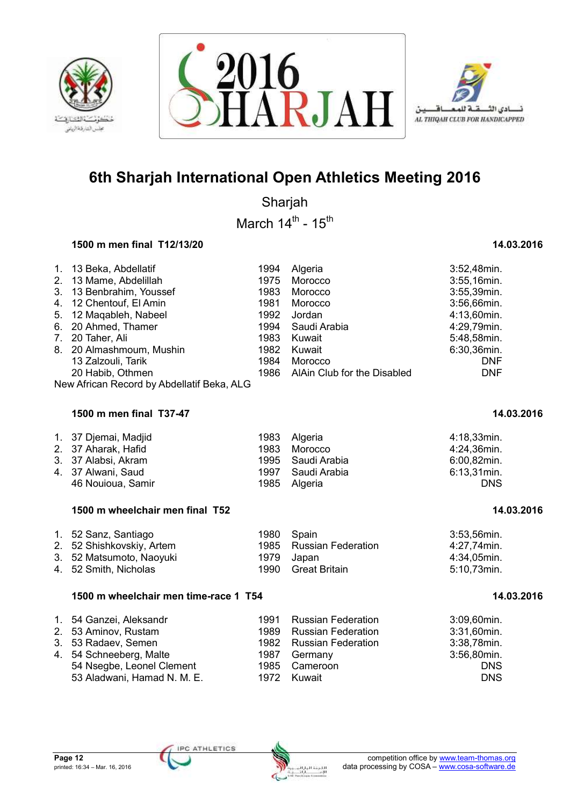





Sharjah

March  $14^{\text{th}}$  -  $15^{\text{th}}$ 

## **1500 m men final T12/13/20 14.03.2016**

| 1. 13 Beka, Abdellatif                     | 1994 | Algeria                          | 3:52,48min. |
|--------------------------------------------|------|----------------------------------|-------------|
| 2. 13 Mame, Abdelillah                     | 1975 | Morocco                          | 3:55,16min. |
| 3. 13 Benbrahim, Youssef                   | 1983 | Morocco                          | 3:55,39min. |
| 4. 12 Chentouf, El Amin                    | 1981 | Morocco                          | 3:56,66min. |
| 5. 12 Magableh, Nabeel                     | 1992 | Jordan                           | 4:13,60min. |
| 6. 20 Ahmed, Thamer                        | 1994 | Saudi Arabia                     | 4:29,79min. |
| 7. 20 Taher, Ali                           | 1983 | Kuwait                           | 5:48,58min. |
| 8. 20 Almashmoum, Mushin                   | 1982 | Kuwait                           | 6:30,36min. |
| 13 Zalzouli, Tarik                         | 1984 | Morocco                          | <b>DNF</b>  |
| 20 Habib, Othmen                           |      | 1986 AlAin Club for the Disabled | <b>DNF</b>  |
| New African Record by Abdellatif Beka, ALG |      |                                  |             |

## **1500 m men final T37-47 14.03.2016**

## **1500 m wheelchair men final T52 1500 m and 14.03.2016** 14.03.2016

| 1. 52 Sanz, Santiago      | 1980 Spain |                         | 3:53,56min. |
|---------------------------|------------|-------------------------|-------------|
| 2. 52 Shishkovskiy, Artem |            | 1985 Russian Federation | 4:27.74min. |
| 3. 52 Matsumoto, Naoyuki  |            | 1979 Japan              | 4:34.05min. |
| 4. 52 Smith, Nicholas     |            | 1990 Great Britain      | 5:10.73min. |

### **1500 m wheelchair men time-race 1 T54 14.03.2016**

| 1. 54 Ganzei, Aleksandr     | 1991 Russian Federation | 3:09,60min. |
|-----------------------------|-------------------------|-------------|
| 2. 53 Aminov, Rustam        | 1989 Russian Federation | 3:31,60min. |
| 3. 53 Radaev, Semen         | 1982 Russian Federation | 3:38,78min. |
| 4. 54 Schneeberg, Malte     | 1987 Germany            | 3:56,80min. |
| 54 Nsegbe, Leonel Clement   | 1985 Cameroon           | <b>DNS</b>  |
| 53 Aladwani, Hamad N. M. E. | 1972 Kuwait             | <b>DNS</b>  |

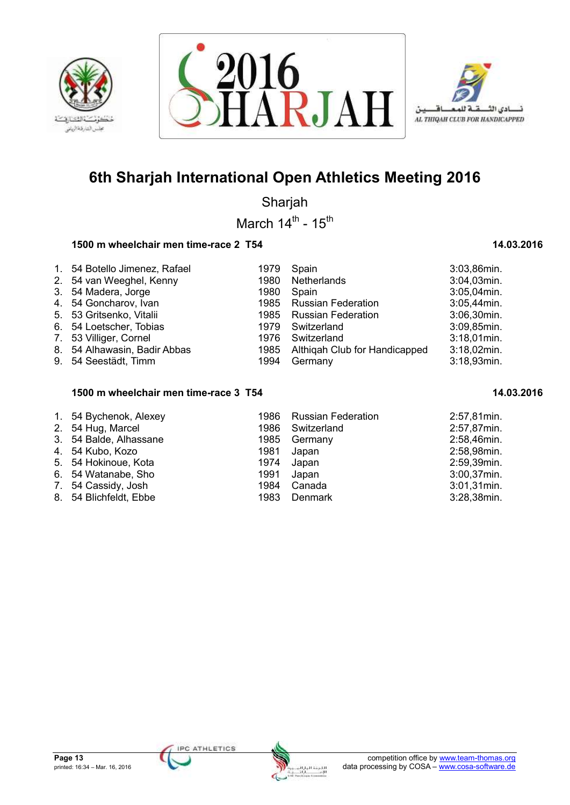





Sharjah

March  $14^{\text{th}}$  -  $15^{\text{th}}$ 

## **1500 m wheelchair men time-race 2 T54 14.03.2016** 1500 m  $\frac{14.03.2016}{14.03.2016}$

| 1. 54 Botello Jimenez, Rafael<br>2. 54 van Weeghel, Kenny<br>3. 54 Madera, Jorge<br>4. 54 Goncharov, Ivan<br>5. 53 Gritsenko, Vitalii<br>6. 54 Loetscher, Tobias<br>7. 53 Villiger, Cornel<br>8. 54 Alhawasin, Badir Abbas | 1979<br>1980<br>1980<br>1976 | Spain<br>Netherlands<br>Spain<br>1985 Russian Federation<br>1985 Russian Federation<br>1979 Switzerland<br>Switzerland<br>1985 Althigah Club for Handicapped | 3:03,86min.<br>3:04,03min.<br>3:05,04min.<br>3:05,44min.<br>3:06,30min.<br>3:09,85min.<br>$3:18,01$ min.<br>$3:18,02$ min. |
|----------------------------------------------------------------------------------------------------------------------------------------------------------------------------------------------------------------------------|------------------------------|--------------------------------------------------------------------------------------------------------------------------------------------------------------|----------------------------------------------------------------------------------------------------------------------------|
| 9. 54 Seestädt, Timm                                                                                                                                                                                                       | 1994                         | Germany                                                                                                                                                      | 3:18,93min.                                                                                                                |

### 1500 m wheelchair men time-race 3 T54 **1500 m** 14.03.2016

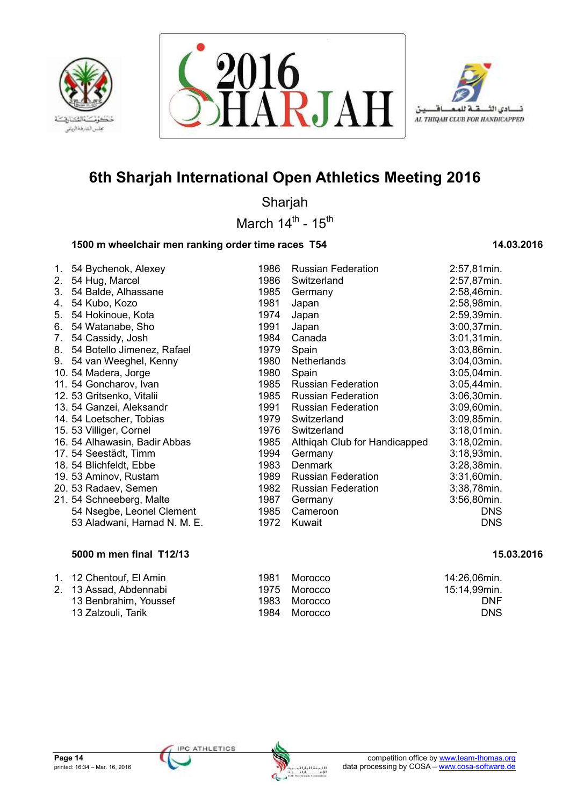





Sharjah

March  $14^{\text{th}}$  -  $15^{\text{th}}$ 

## **1500 m wheelchair men ranking order time races T54 14.03.2016**

| 1. | 54 Bychenok, Alexey           | 1986 | <b>Russian Federation</b>     | 2:57,81min.    |
|----|-------------------------------|------|-------------------------------|----------------|
| 2. | 54 Hug, Marcel                | 1986 | Switzerland                   | 2:57,87min.    |
| 3. | 54 Balde, Alhassane           | 1985 | Germany                       | 2:58,46min.    |
| 4. | 54 Kubo, Kozo                 | 1981 | Japan                         | 2:58,98min.    |
| 5. | 54 Hokinoue, Kota             | 1974 | Japan                         | 2:59,39min.    |
| 6. | 54 Watanabe, Sho              | 1991 | Japan                         | 3:00,37min.    |
| 7. | 54 Cassidy, Josh              | 1984 | Canada                        | 3:01,31min.    |
| 8. | 54 Botello Jimenez, Rafael    | 1979 | Spain                         | 3:03,86min.    |
| 9. | 54 van Weeghel, Kenny         | 1980 | <b>Netherlands</b>            | 3:04,03min.    |
|    | 10. 54 Madera, Jorge          | 1980 | Spain                         | 3:05,04min.    |
|    | 11. 54 Goncharov, Ivan        | 1985 | <b>Russian Federation</b>     | 3:05,44min.    |
|    | 12. 53 Gritsenko, Vitalii     | 1985 | <b>Russian Federation</b>     | 3:06,30min.    |
|    | 13. 54 Ganzei, Aleksandr      | 1991 | <b>Russian Federation</b>     | 3:09,60min.    |
|    | 14. 54 Loetscher, Tobias      | 1979 | Switzerland                   | 3:09,85min.    |
|    | 15. 53 Villiger, Cornel       | 1976 | Switzerland                   | 3:18,01min.    |
|    | 16. 54 Alhawasin, Badir Abbas | 1985 | Althigah Club for Handicapped | $3:18,02$ min. |
|    | 17. 54 Seestädt, Timm         | 1994 | Germany                       | $3:18,93$ min. |
|    | 18. 54 Blichfeldt, Ebbe       | 1983 | <b>Denmark</b>                | 3:28,38min.    |
|    | 19. 53 Aminov, Rustam         | 1989 | <b>Russian Federation</b>     | 3:31,60min.    |
|    | 20. 53 Radaev, Semen          | 1982 | <b>Russian Federation</b>     | 3:38,78min.    |
|    | 21. 54 Schneeberg, Malte      | 1987 | Germany                       | 3:56,80min.    |
|    | 54 Nsegbe, Leonel Clement     | 1985 | Cameroon                      | <b>DNS</b>     |
|    | 53 Aladwani, Hamad N. M. E.   | 1972 | Kuwait                        | <b>DNS</b>     |

### **5000 m men final T12/13** 15.03.2016

| 1. 12 Chentouf, El Amin | 1981 | Morocco      | 14:26,06min. |
|-------------------------|------|--------------|--------------|
| 2. 13 Assad, Abdennabi  |      | 1975 Morocco | 15:14,99min. |
| 13 Benbrahim, Youssef   |      | 1983 Morocco | <b>DNF</b>   |
| 13 Zalzouli, Tarik      |      | 1984 Morocco | DNS.         |

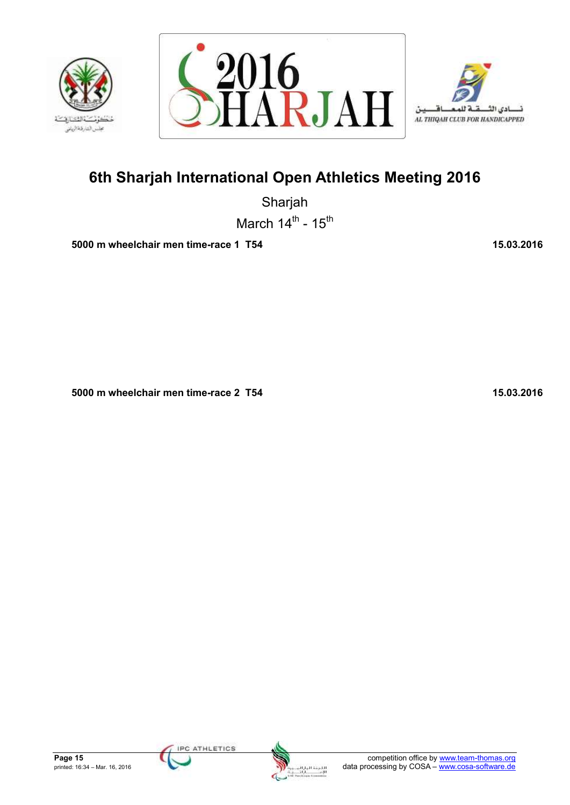





Sharjah March  $14^{\text{th}}$  -  $15^{\text{th}}$ 

 **5000 m wheelchair men time-race 1 T54 15.03.2016** 15.03.2016

 **5000 m wheelchair men time-race 2 T54 15.03.2016** 

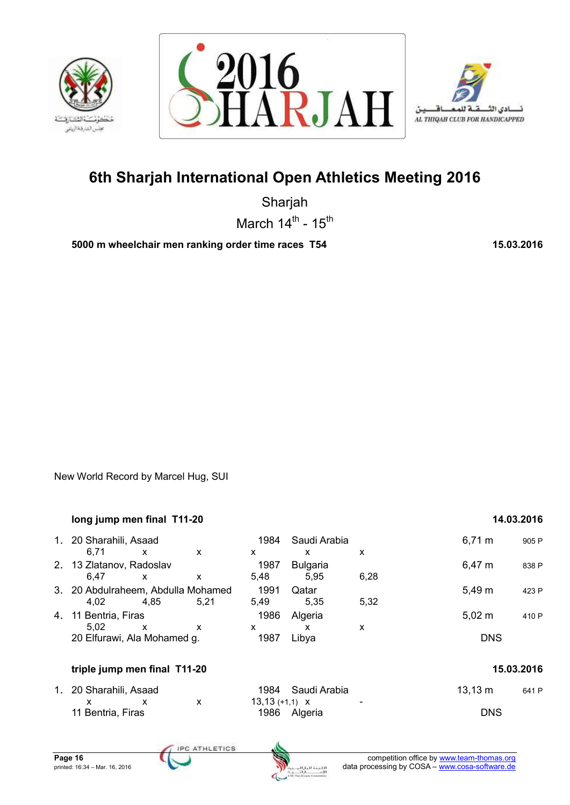





Sharjah March  $14^{\text{th}}$  -  $15^{\text{th}}$ 

 **5000 m wheelchair men ranking order time races T54 15.03.2016** 

New World Record by Marcel Hug, SUI

|    | long jump men final T11-20         |              |      |                  |                 |      |              | 14.03.2016 |
|----|------------------------------------|--------------|------|------------------|-----------------|------|--------------|------------|
| 1. | 20 Sharahili, Asaad                |              |      | 1984             | Saudi Arabia    |      | $6,71 \; m$  | 905 P      |
|    | 6,71                               | $\mathsf{x}$ | X    | X                | X               | X    |              |            |
|    | 2. 13 Zlatanov, Radoslav           |              |      | 1987             | <b>Bulgaria</b> |      | $6,47 \; m$  | 838 P      |
|    | 6,47                               | $\mathsf{x}$ | X    | 5,48             | 5,95            | 6,28 |              |            |
|    | 3. 20 Abdulraheem, Abdulla Mohamed |              |      | 1991             | Qatar           |      | 5,49 m       | 423 P      |
|    | 4,02                               | 4.85         | 5,21 | 5,49             | 5,35            | 5,32 |              |            |
| 4. | 11 Bentria, Firas                  |              |      | 1986             | Algeria         |      | $5,02 \; m$  | 410 P      |
|    | 5,02                               | $\mathsf{x}$ | X    | x                | X               | X    |              |            |
|    | 20 Elfurawi, Ala Mohamed g.        |              |      | 1987             | Libya           |      | <b>DNS</b>   |            |
|    | triple jump men final T11-20       |              |      |                  |                 |      |              | 15.03.2016 |
| 1. | 20 Sharahili, Asaad                |              |      | 1984             | Saudi Arabia    |      | $13,13 \; m$ | 641 P      |
|    | X                                  | $\mathsf{x}$ | X    | $13,13 (+1,1)$ X |                 |      |              |            |
|    | 11 Bentria, Firas                  |              |      | 1986             | Algeria         |      | <b>DNS</b>   |            |
|    |                                    |              |      |                  |                 |      |              |            |

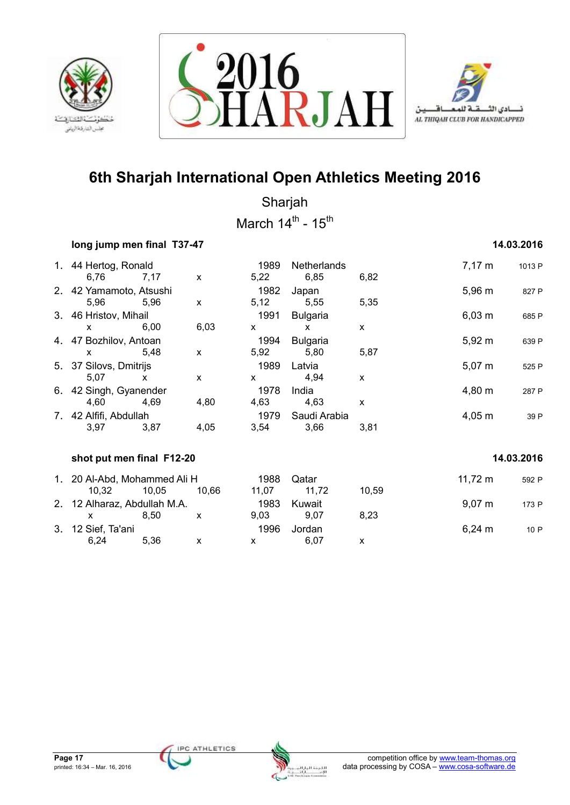





Sharjah March  $14^{\text{th}}$  -  $15^{\text{th}}$ 

## **14.03.2016 16.12.2016 14.03.2016**

|    | 1. 44 Hertog, Ronald<br>6,76                           | 7,17         | X         | 1989<br>5,22                 | Netherlands<br>6,85                     | 6,82         | $7,17 \; m$  | 1013 P     |
|----|--------------------------------------------------------|--------------|-----------|------------------------------|-----------------------------------------|--------------|--------------|------------|
|    | 2. 42 Yamamoto, Atsushi<br>5,96                        | 5,96         | X         | 1982<br>5,12                 | Japan<br>5,55                           | 5,35         | $5,96 \; m$  | 827 P      |
|    | 3. 46 Hristov, Mihail                                  |              |           | 1991                         | <b>Bulgaria</b>                         |              | $6,03 \; m$  | 685 P      |
|    | $\mathsf{x}$<br>4. 47 Bozhilov, Antoan<br>$\mathsf{x}$ | 6,00<br>5,48 | 6,03<br>X | $\mathsf{x}$<br>1994<br>5,92 | $\mathsf{x}$<br><b>Bulgaria</b><br>5,80 | X<br>5,87    | $5,92 \; m$  | 639 P      |
|    | 5. 37 Silovs, Dmitrijs<br>5,07                         | $\mathsf{x}$ | X         | 1989<br>$\mathsf{x}$         | Latvia<br>4,94                          | $\mathsf{x}$ | $5,07 \; m$  | 525 P      |
|    | 6. 42 Singh, Gyanender<br>4,60                         | 4,69         | 4,80      | 1978<br>4,63                 | India<br>4,63                           | X            | 4,80 m       | 287 P      |
|    | 7. 42 Alfifi, Abdullah<br>3,97                         | 3,87         | 4,05      | 1979<br>3,54                 | Saudi Arabia<br>3,66                    | 3,81         | $4,05 \; m$  | 39 P       |
|    | shot put men final F12-20                              |              |           |                              |                                         |              |              | 14.03.2016 |
|    |                                                        |              |           |                              |                                         |              |              |            |
|    | 1. 20 Al-Abd, Mohammed Ali H<br>10,32                  | 10,05        | 10,66     | 1988<br>11,07                | Qatar<br>11,72                          | 10,59        | $11,72 \; m$ | 592 P      |
|    | 2. 12 Alharaz, Abdullah M.A.<br>$\mathsf{x}$           | 8,50         | X         | 1983<br>9,03                 | Kuwait<br>9,07                          | 8,23         | $9,07 \; m$  | 173 P      |
| 3. | 12 Sief, Ta'ani                                        |              |           | 1996                         | Jordan                                  |              | $6,24 \, m$  | 10 P       |
|    | 6,24                                                   | 5,36         | X         | X                            | 6,07                                    | X            |              |            |

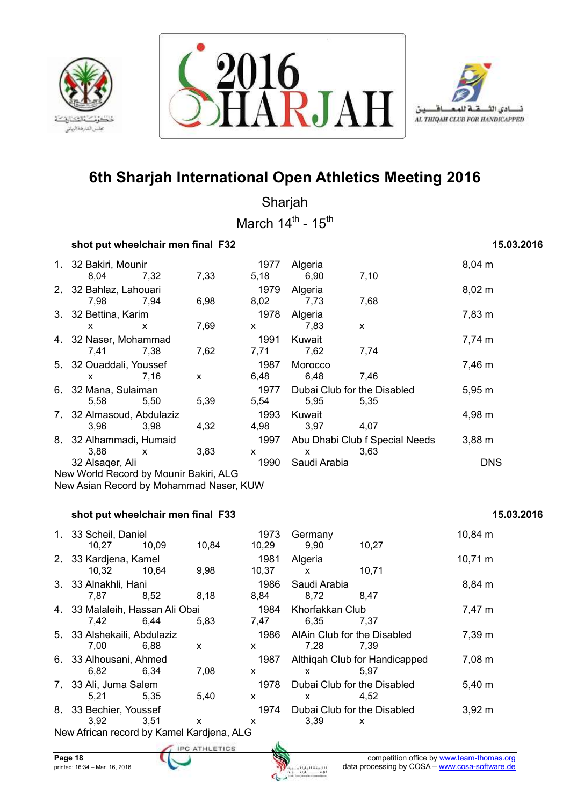





Sharjah March  $14^{\text{th}}$  -  $15^{\text{th}}$ 

### **shot put wheelchair men final F32** 15.03.2016

## 1. 32 Bakiri, Mounir **1977** Algeria **1978** Algeria 8,04 m 8,04 7,32 7,33 5,18 6,90 7,10 2. 32 Bahlaz, Lahouari 1979 Algeria 8,02 m 7,98 7,94 6,98 8,02 7,73 7,68 3. 32 Bettina, Karim 1978 Algeria 7,83 m x x 7,69 x 7,83 x 4. 32 Naser, Mohammad 1991 Kuwait 1991 Kuwait 1991 Kuwait 7,74 m 7,41 7,38 7,62 7,71 7,62 7,74 5. 32 Ouaddali, Youssef 1987 Morocco 7,46 m x 7,16 x 6,48 6,48 7,46 6. 32 Mana, Sulaiman 1977 Dubai Club for the Disabled 5,95 m 5,58 5,50 5,39 5,54 5,95 5,35 7. 32 Almasoud, Abdulaziz 1993 Kuwait 4,98 m 3,96 3,98 4,32 4,98 3,97 4,07 8. 32 Alhammadi, Humaid 1997 Abu Dhabi Club f Special Needs 3,88 m 3,88 x 3,83 x x 3,63 32 Alsaqer, Ali 1990 Saudi Arabia DNS New World Record by Mounir Bakiri, ALG

New Asian Record by Mohammad Naser, KUW

### **shot put wheelchair men final F33** 15.03.2016 **15.03.2016**

## 1. 33 Scheil, Daniel 1973 Germany 10,84 m 10,27 10,09 10,84 10,29 9,90 10,27 2. 33 Kardjena, Kamel 1981 Algeria 1981 Algeria 10,71 m 10,32 10,64 9,98 10,37 x 10,71 3. 33 Alnakhli, Hani 1986 Saudi Arabia 8,84 m 7,87 8,52 8,18 8,84 8,72 8,47 4. 33 Malaleih, Hassan Ali Obai 1984 Khorfakkan Club 7,47 m 7,42 6,44 5,83 7,47 6,35 7,37 5. 33 Alshekaili, Abdulaziz 1986 AlAin Club for the Disabled 7,39 m 7,00 6,88 x x 7,28 7,39 6. 33 Alhousani, Ahmed 1987 Althiqah Club for Handicapped 7,08 m 6,82 6,34 7,08 x x 5,97 7. 33 Ali, Juma Salem 1978 Dubai Club for the Disabled 5,40 m 5,21 5,35 5,40 x x 4,52 8. 33 Bechier, Youssef 1974 Dubai Club for the Disabled 3,92 m 3,92 3,51 x x 3,39 x New African record by Kamel Kardjena, ALG

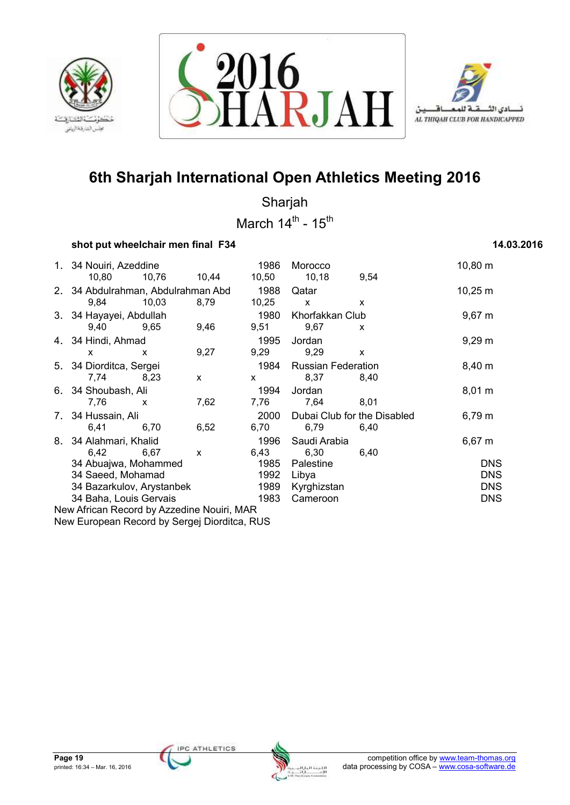





Sharjah March  $14^{\text{th}}$  -  $15^{\text{th}}$ 

### **shot put wheelchair men final F34** 14.03.2016

## 1. 34 Nouiri, Azeddine 1986 Morocco 10,80 m 10,80 10,76 10,44 10,50 10,18 9,54 2. 34 Abdulrahman, Abdulrahman Abd 1988 Qatar 10,25 m 9,84 10,03 8,79 10,25 x x 3. 34 Hayayei, Abdullah 1980 Khorfakkan Club 9,67 m 9,40 9,65 9,46 9,51 9,67 x 4. 34 Hindi, Ahmad 1995 Jordan 9,29 m x x 9,27 9,29 9,29 x 5. 34 Diorditca, Sergei 1984 Russian Federation 8,40 m 7,74 8,23 x x 8,37 8,40 6. 34 Shoubash, Ali 1994 Jordan 8,01 m 7,76 x 7,62 7,76 7,64 8,01 7. 34 Hussain, Ali 2000 Dubai Club for the Disabled 6,79 m 6,41 6,70 6,52 6,70 6,79 6,40 8. 34 Alahmari, Khalid 1996 Saudi Arabia 1996 Saudi Arabia 6,67 m 6,42 6,67 x 6,43 6,30 6,40 34 Abuajwa, Mohammed 1985 Palestine DNS 34 Saeed, Mohamad 1992 Libya DNS 34 Bazarkulov, Arystanbek 1989 Kyrghizstan 34 Baha, Louis Gervais 1983 Cameroon DNS New African Record by Azzedine Nouiri, MAR

New European Record by Sergej Diorditca, RUS

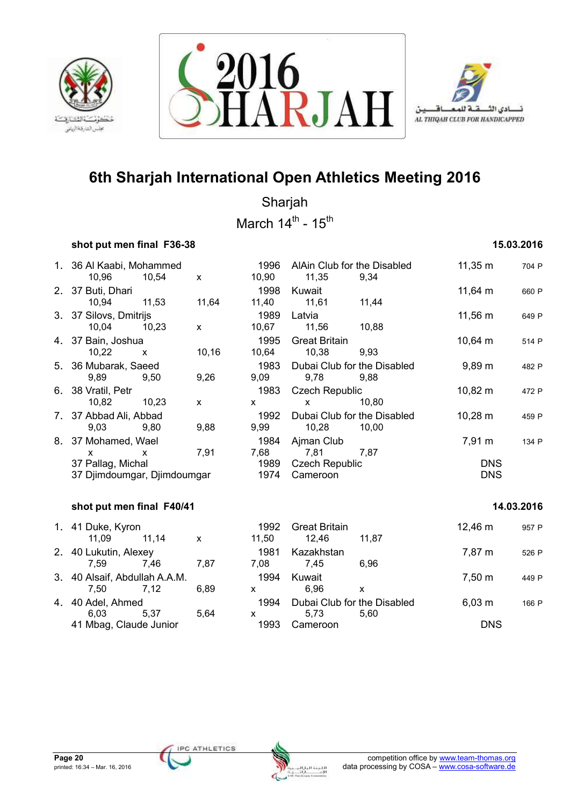





Sharjah

March  $14^{\text{th}}$  -  $15^{\text{th}}$ 

## **shot put men final F36-38 15.03.2016**

| 1. 36 Al Kaabi, Mohammed<br>10,96 | 10,54        | $\mathsf{x}$ | 1996<br>10,90 | AlAin Club for the Disabled<br>11,35 | 9,34         | $11,35 \; m$         | 704 P      |
|-----------------------------------|--------------|--------------|---------------|--------------------------------------|--------------|----------------------|------------|
| 2. 37 Buti, Dhari                 |              |              | 1998          | Kuwait                               |              | $11,64 \; m$         | 660 P      |
| 10,94                             | 11,53        | 11,64        | 11,40         | 11,61                                | 11,44        |                      |            |
| 3. 37 Silovs, Dmitrijs            |              |              | 1989          | Latvia                               |              | 11,56 m              | 649 P      |
| 10,04                             | 10,23        | $\mathsf{x}$ | 10,67         | 11,56                                | 10,88        |                      |            |
| 4. 37 Bain, Joshua                |              |              | 1995          | <b>Great Britain</b>                 |              | $10,64 \, m$         | 514 P      |
| 10,22                             | $\mathsf{x}$ | 10, 16       | 10,64         | 10,38                                | 9,93         |                      |            |
| 5. 36 Mubarak, Saeed              |              |              | 1983          | Dubai Club for the Disabled          |              | $9,89 \; \mathrm{m}$ | 482 P      |
| 9,89                              | 9,50         | 9,26         | 9,09          | 9,78                                 | 9,88         |                      |            |
| 6. 38 Vratil, Petr                |              |              | 1983          | <b>Czech Republic</b>                |              | 10,82 m              | 472 P      |
| 10,82                             | 10,23        | $\mathsf{X}$ | X.            | X.                                   | 10,80        |                      |            |
| 7. 37 Abbad Ali, Abbad            |              |              | 1992          | Dubai Club for the Disabled          |              | $10,28 \; m$         | 459 P      |
| 9,03                              | 9,80         | 9,88         | 9,99          | 10,28                                | 10,00        |                      |            |
| 8. 37 Mohamed, Wael               |              |              | 1984          | Ajman Club                           |              | 7,91 m               | 134 P      |
| <b>X</b>                          | X            | 7,91         | 7,68          | 7,81                                 | 7,87         |                      |            |
| 37 Pallag, Michal                 |              |              | 1989          | <b>Czech Republic</b>                |              | <b>DNS</b>           |            |
| 37 Djimdoumgar, Djimdoumgar       |              |              | 1974          | Cameroon                             |              | <b>DNS</b>           |            |
| shot put men final F40/41         |              |              |               |                                      |              |                      | 14.03.2016 |
| 1. 41 Duke, Kyron                 |              |              | 1992          | <b>Great Britain</b>                 |              | 12,46 m              | 957 P      |
| 11,09                             | 11,14        | $\mathsf{x}$ | 11,50         | 12,46                                | 11,87        |                      |            |
| 2. 40 Lukutin, Alexey             |              |              | 1981          | Kazakhstan                           |              | 7,87 m               | 526 P      |
| 7,59                              | 7,46         | 7,87         | 7,08          | 7,45                                 | 6,96         |                      |            |
| 3. 40 Alsaif, Abdullah A.A.M.     |              |              | 1994          | Kuwait                               |              | 7,50 m               | 449 P      |
| 7,50                              | 7,12         | 6,89         | <b>X</b>      | 6,96                                 | $\mathsf{x}$ |                      |            |
| 4. 40 Adel, Ahmed                 |              |              | 1994          | Dubai Club for the Disabled          |              | $6,03 \; m$          | 166 P      |
| 6,03                              | 5,37         | 5,64         | X             | 5,73                                 | 5,60         |                      |            |
| 41 Mbag, Claude Junior            |              |              | 1993          | Cameroon                             |              | <b>DNS</b>           |            |
|                                   |              |              |               |                                      |              |                      |            |

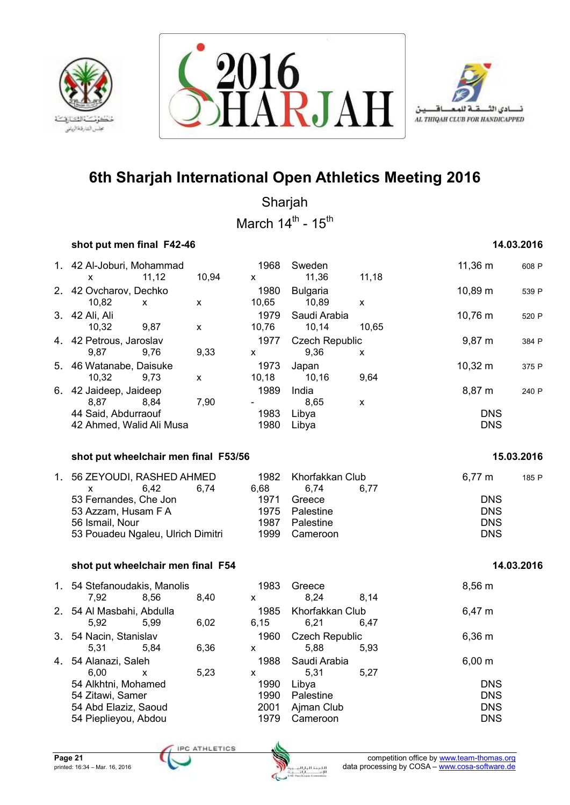





Sharjah March  $14^{\text{th}}$  -  $15^{\text{th}}$ 

## **shot put men final F42-46 14.03.2016**

|    | 1. 42 Al-Joburi, Mohammad            |                    | 1968   | Sweden                |                    | 11,36 m     | 608 P      |
|----|--------------------------------------|--------------------|--------|-----------------------|--------------------|-------------|------------|
|    | 11,12<br>x                           | 10,94              | X      | 11,36                 | 11,18              |             |            |
| 2. | 42 Ovcharov, Dechko                  |                    | 1980   | <b>Bulgaria</b>       |                    | 10,89 m     | 539 P      |
|    | 10,82<br>X                           | X                  | 10,65  | 10,89                 | X                  |             |            |
|    | 3. 42 Ali, Ali                       |                    | 1979   | Saudi Arabia          |                    | 10,76 m     | 520 P      |
|    | 10,32<br>9,87                        | X                  | 10,76  | 10,14                 | 10,65              |             |            |
| 4. | 42 Petrous, Jaroslav                 |                    | 1977   | <b>Czech Republic</b> |                    | 9,87 m      | 384 P      |
|    | 9,87<br>9,76                         | 9,33               | X      | 9,36                  | X                  |             |            |
| 5. | 46 Watanabe, Daisuke                 |                    | 1973   | Japan                 |                    | 10,32 m     | 375 P      |
|    | 10,32<br>9,73                        | $\pmb{\mathsf{x}}$ | 10, 18 | 10,16                 | 9,64               |             |            |
| 6. | 42 Jaideep, Jaideep                  |                    | 1989   | India                 |                    | 8,87 m      | 240 P      |
|    | 8,87<br>8,84                         | 7,90               |        | 8,65                  | $\pmb{\mathsf{x}}$ |             |            |
|    | 44 Said, Abdurraouf                  |                    | 1983   | Libya                 |                    | <b>DNS</b>  |            |
|    | 42 Ahmed, Walid Ali Musa             |                    | 1980   | Libya                 |                    | <b>DNS</b>  |            |
|    |                                      |                    |        |                       |                    |             |            |
|    | shot put wheelchair men final F53/56 |                    |        |                       |                    |             | 15.03.2016 |
|    |                                      |                    |        |                       |                    |             |            |
| 1. | 56 ZEYOUDI, RASHED AHMED             |                    | 1982   | Khorfakkan Club       |                    | $6,77 \; m$ | 185 P      |
|    | 6,42<br>X                            | 6,74               | 6,68   | 6,74                  | 6,77               |             |            |
|    | 53 Fernandes, Che Jon                |                    | 1971   | Greece                |                    | <b>DNS</b>  |            |
|    | 53 Azzam, Husam F A                  |                    | 1975   | Palestine             |                    | <b>DNS</b>  |            |
|    | 56 Ismail, Nour                      |                    | 1987   | Palestine             |                    | <b>DNS</b>  |            |
|    | 53 Pouadeu Ngaleu, Ulrich Dimitri    |                    | 1999   | Cameroon              |                    | <b>DNS</b>  |            |
|    |                                      |                    |        |                       |                    |             |            |
|    | shot put wheelchair men final F54    |                    |        |                       |                    |             | 14.03.2016 |
|    | 1. 54 Stefanoudakis, Manolis         |                    | 1983   | Greece                |                    | 8,56 m      |            |
|    | 7,92<br>8,56                         | 8,40               | X      | 8,24                  | 8,14               |             |            |
| 2. | 54 Al Masbahi, Abdulla               |                    | 1985   | Khorfakkan Club       |                    | 6,47 m      |            |
|    | 5,92<br>5,99                         | 6,02               | 6,15   | 6,21                  | 6,47               |             |            |
|    |                                      |                    |        |                       |                    |             |            |
| 3. | 54 Nacin, Stanislav                  |                    | 1960   | <b>Czech Republic</b> |                    | 6,36 m      |            |
|    | 5,31<br>5,84                         | 6,36               | X      | 5,88                  | 5,93               |             |            |
| 4. | 54 Alanazi, Saleh                    |                    | 1988   | Saudi Arabia          |                    | $6,00 \; m$ |            |
|    | 6,00<br>X                            | 5,23               | X      | 5,31                  | 5,27               |             |            |
|    | 54 Alkhtni, Mohamed                  |                    | 1990   | Libya                 |                    | <b>DNS</b>  |            |
|    | 54 Zitawi, Samer                     |                    | 1990   | Palestine             |                    | <b>DNS</b>  |            |
|    | 54 Abd Elaziz, Saoud                 |                    | 2001   | Ajman Club            |                    | <b>DNS</b>  |            |
|    | 54 Pieplieyou, Abdou                 |                    | 1979   | Cameroon              |                    | <b>DNS</b>  |            |



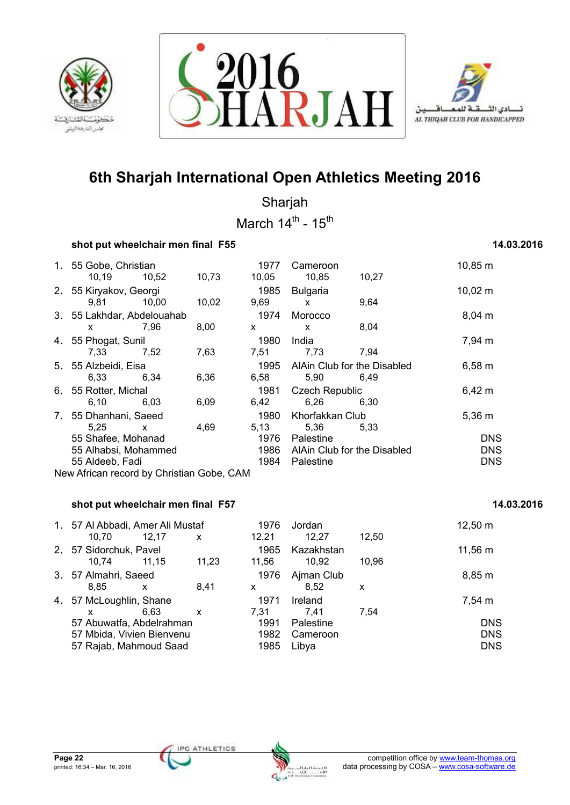





Sharjah March  $14^{\text{th}}$  -  $15^{\text{th}}$ 

### **shot put wheelchair men final F55 14.03.2016** 14.03.2016

## 1. 55 Gobe, Christian 1977 Cameroon 10,85 m 10,19 10,52 10,73 10,05 10,85 10,27 2. 55 Kiryakov, Georgi 1985 Bulgaria 10,02 m 9,81 10,00 10,02 9,69 x 9,64 3. 55 Lakhdar, Abdelouahab 1974 Morocco 6,04 m x 7,96 8,00 x x 8,04 4. 55 Phogat, Sunil 1980 India 1980 India 1980 India 1980 India 1980 India 1980 India 1980 India 1980 India 19 7,33 7,52 7,63 7,51 7,73 7,94 5. 55 Alzbeidi, Eisa 1995 AlAin Club for the Disabled 6,58 m 6,33 6,34 6,36 6,58 5,90 6,49 6. 55 Rotter, Michal 1981 Czech Republic 6,42 m 6,10 6,03 6,09 6,42 6,26 6,30 7. 55 Dhanhani, Saeed 1980 Khorfakkan Club 5,36 m 5,25 x 4,69 5,13 5,36 5,33 55 Shafee, Mohanad 1976 Palestine DNS 55 Alhabsi, Mohammed 1986 AlAin Club for the Disabled DNS 55 Aldeeb, Fadi 1984 Palestine DNS New African record by Christian Gobe, CAM

## **shot put wheelchair men final F57 14.03.2016 14.03.2016**

| 1. 57 Al Abbadi, Amer Ali Mustaf<br>10.70                                                                  | 12.17 | X     | 1976<br>12,21                        | Jordan<br>12,27                                   | 12,50 | $12,50 \; m$                                     |
|------------------------------------------------------------------------------------------------------------|-------|-------|--------------------------------------|---------------------------------------------------|-------|--------------------------------------------------|
| 2. 57 Sidorchuk, Pavel<br>10.74                                                                            | 11.15 | 11,23 | 1965<br>11,56                        | Kazakhstan<br>10.92                               | 10.96 | 11,56 m                                          |
| 3. 57 Almahri, Saeed<br>8,85                                                                               | X     | 8.41  | 1976<br>X                            | Ajman Club<br>8,52                                | X     | 8,85 m                                           |
| 4. 57 McLoughlin, Shane<br>57 Abuwatfa, Abdelrahman<br>57 Mbida, Vivien Bienvenu<br>57 Rajab, Mahmoud Saad | 6.63  | X     | 1971<br>7.31<br>1991<br>1982<br>1985 | Ireland<br>7.41<br>Palestine<br>Cameroon<br>Libya | 7.54  | 7,54 m<br><b>DNS</b><br><b>DNS</b><br><b>DNS</b> |

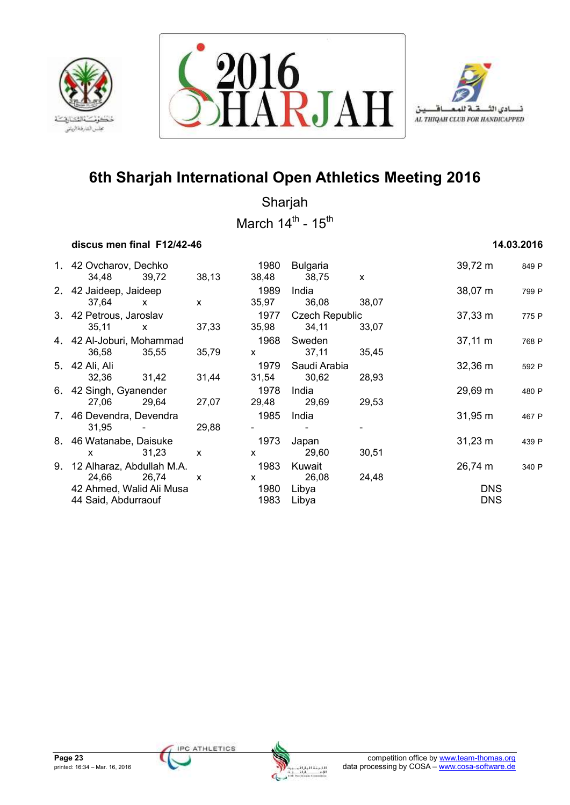





Sharjah March  $14^{\text{th}}$  -  $15^{\text{th}}$ 

### **discus men final F12/42-46 14.03.2016**

| 1. 42 Ovcharov, Dechko       |                                   |              | 1980         | Bulgaria              |              | 39,72 m      | 849 P |
|------------------------------|-----------------------------------|--------------|--------------|-----------------------|--------------|--------------|-------|
| 34,48 39,72                  |                                   | 38,13        | 38,48        | 38,75                 | $\mathsf{x}$ |              |       |
| 2. 42 Jaideep, Jaideep       |                                   |              | 1989         | India                 |              | $38,07 \; m$ | 799 P |
| 37,64                        | $\mathsf{x}$                      | $\mathsf{x}$ | 35,97        | 36,08                 | 38,07        |              |       |
| 3. 42 Petrous, Jaroslav      |                                   |              | 1977         | <b>Czech Republic</b> |              | $37,33 \; m$ | 775 P |
| 35,11                        | $\mathsf{x}$                      | 37,33        | 35,98        | 34,11                 | 33,07        |              |       |
| 4. 42 Al-Joburi, Mohammad    |                                   |              | 1968         | Sweden                |              | $37,11 \; m$ | 768 P |
| 36,58                        | 35,55                             | 35,79        | $\mathsf{x}$ | 37,11                 | 35,45        |              |       |
| 5. 42 Ali, Ali               |                                   |              | 1979         | Saudi Arabia          |              | $32,36 \; m$ | 592 P |
| 32,36 31,42                  |                                   | 31,44        | 31,54        | 30,62                 | 28,93        |              |       |
| 6. 42 Singh, Gyanender       |                                   |              | 1978         | India                 |              | 29,69 m      | 480 P |
| 27,06                        | 29,64                             | 27,07        |              | 29,48 29,69           | 29,53        |              |       |
| 7. 46 Devendra, Devendra     |                                   |              | 1985         | India                 |              | $31,95 \; m$ | 467 P |
| 31.95                        | <b>Contract Contract Contract</b> | 29,88        |              |                       |              |              |       |
| 8. 46 Watanabe, Daisuke      |                                   |              | 1973         | Japan                 |              | $31,23 \; m$ | 439 P |
| $\mathsf{x}$                 | 31,23                             | $\mathsf{x}$ | $\mathsf{x}$ | 29,60                 | 30,51        |              |       |
| 9. 12 Alharaz, Abdullah M.A. |                                   |              | 1983         | Kuwait                |              | 26,74 m      | 340 P |
| 24,66                        | 26,74                             | $\mathsf{x}$ | $\mathsf{x}$ | 26,08                 | 24,48        |              |       |
| 42 Ahmed, Walid Ali Musa     |                                   |              | 1980         | Libya                 |              | <b>DNS</b>   |       |
| 44 Said, Abdurraouf          |                                   |              | 1983         | Libya                 |              | <b>DNS</b>   |       |
|                              |                                   |              |              |                       |              |              |       |

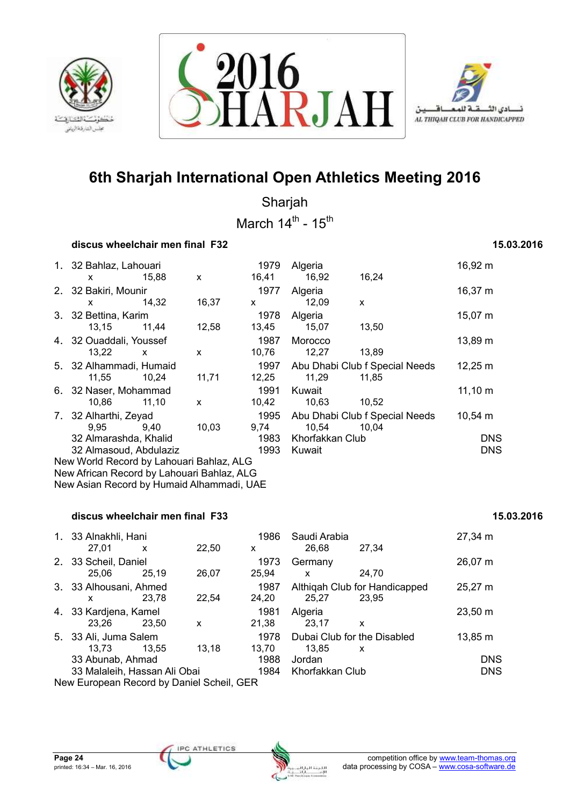





Sharjah March  $14^{\text{th}}$  -  $15^{\text{th}}$ 

### **discus wheelchair men final F32** 15.03.2016 **15.03.2016**

## 1. 32 Bahlaz, Lahouari 1979 Algeria 16,92 m x 15,88 x 16,41 16,92 16,24 2. 32 Bakiri, Mounir 1977 Algeria 16,37 m x 14,32 16,37 x 12,09 x 3. 32 Bettina, Karim 1978 Algeria 15,07 m 13,15 11,44 12,58 13,45 15,07 13,50 4. 32 Ouaddali, Youssef 1987 Morocco 13,89 m 13,22 x x 10,76 12,27 13,89 5. 32 Alhammadi, Humaid 1997 Abu Dhabi Club f Special Needs 12,25 m 11,55 10,24 11,71 12,25 11,29 11,85 6. 32 Naser, Mohammad 1991 Kuwait 11,10 m 10,86 11,10 x 10,42 10,63 10,52 7. 32 Alharthi, Zeyad 1995 Abu Dhabi Club f Special Needs 10,54 m 9,95 9,40 10,03 9,74 10,54 10,04 32 Almarashda, Khalid 1983 Khorfakkan Club DNS 32 Almasoud, Abdulaziz 1993 Kuwait DNS New World Record by Lahouari Bahlaz, ALG New African Record by Lahouari Bahlaz, ALG

## **discus wheelchair men final F33** 15.03.2016 **15.03.2016**

New Asian Record by Humaid Alhammadi, UAE

|                              | 1. 33 Alnakhli, Hani<br>27.01             | X     | 22,50 | 1986<br>X     | Saudi Arabia<br>26.68 | 27,34                                  | 27,34 m      |  |  |  |
|------------------------------|-------------------------------------------|-------|-------|---------------|-----------------------|----------------------------------------|--------------|--|--|--|
|                              | 2. 33 Scheil, Daniel                      |       |       | 1973          | Germany               |                                        | 26,07 m      |  |  |  |
|                              | 25.06                                     | 25.19 | 26,07 | 25.94         | X                     | 24.70                                  |              |  |  |  |
|                              | 3. 33 Alhousani, Ahmed<br>x               | 23.78 | 22.54 | 1987<br>24,20 | 25.27                 | Althigah Club for Handicapped<br>23,95 | 25,27 m      |  |  |  |
|                              | 4. 33 Kardjena, Kamel<br>23.26            | 23.50 | X     | 1981<br>21.38 | Algeria<br>23.17      | X                                      | $23,50 \; m$ |  |  |  |
|                              | 5. 33 Ali, Juma Salem<br>13.73            | 13,55 | 13.18 | 1978<br>13.70 | 13.85                 | Dubai Club for the Disabled<br>X       | 13,85 m      |  |  |  |
|                              | 33 Abunab, Ahmad                          |       |       | 1988          | Jordan                |                                        | <b>DNS</b>   |  |  |  |
| 33 Malaleih, Hassan Ali Obai |                                           |       |       | 1984          | Khorfakkan Club       |                                        | <b>DNS</b>   |  |  |  |
|                              | New European Record by Daniel Scheil, GER |       |       |               |                       |                                        |              |  |  |  |

| 33 Alnakhli, Hani            |       |       | 1986  | Saudi Arabia    |                               | 27,34 m    |
|------------------------------|-------|-------|-------|-----------------|-------------------------------|------------|
| 27.01                        | X     | 22,50 | x     | 26.68           | 27.34                         |            |
| 33 Scheil, Daniel            |       |       | 1973  | Germany         |                               | 26,07 m    |
| 25.06                        | 25.19 | 26.07 | 25.94 | X               | 24,70                         |            |
| 33 Alhousani, Ahmed          |       |       | 1987  |                 | Althigah Club for Handicapped | 25,27 m    |
| x                            | 23.78 | 22,54 | 24,20 | 25.27           | 23.95                         |            |
| 33 Kardjena, Kamel           |       |       | 1981  | Algeria         |                               | 23,50 m    |
| 23.26                        | 23,50 | x     | 21,38 | 23.17           | X                             |            |
| 33 Ali, Juma Salem           |       |       | 1978  |                 | Dubai Club for the Disabled   | 13,85 m    |
| 13.73                        | 13.55 | 13.18 | 13.70 | 13.85           | X                             |            |
| 33 Abunab, Ahmad             |       |       | 1988  | Jordan          |                               | <b>DNS</b> |
| 33 Malaleih, Hassan Ali Obai |       |       | 1984  | Khorfakkan Club |                               | <b>DNS</b> |

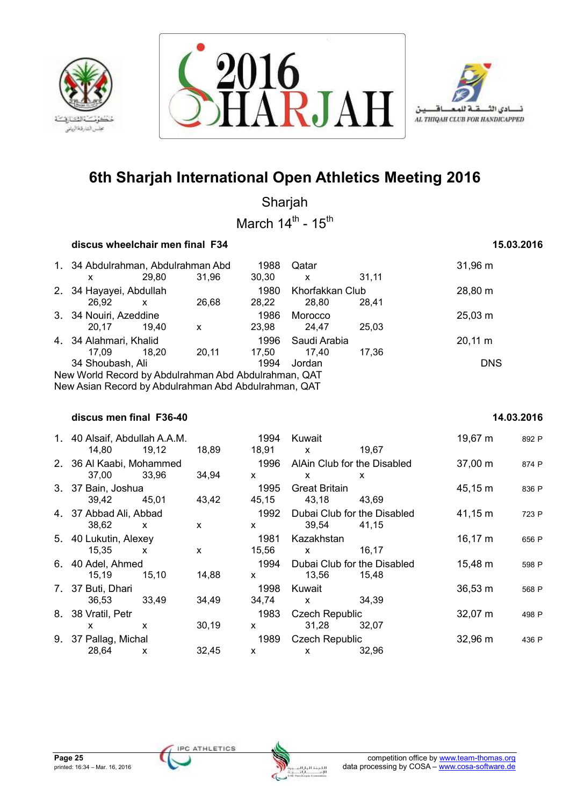





Sharjah March  $14^{\text{th}}$  -  $15^{\text{th}}$ 

### **discus wheelchair men final F34 15.03.2016**

| 1. 34 Abdulrahman, Abdulrahman Abd<br>x                                                                                                                          | 29.80 | 31,96 | 1988<br>30,30 | Qatar<br>X               | 31.11 | $31,96 \; m$ |  |  |  |
|------------------------------------------------------------------------------------------------------------------------------------------------------------------|-------|-------|---------------|--------------------------|-------|--------------|--|--|--|
| 2. 34 Hayayei, Abdullah<br>26.92                                                                                                                                 | X     | 26.68 | 1980<br>28,22 | Khorfakkan Club<br>28.80 | 28.41 | 28,80 m      |  |  |  |
| 3. 34 Nouiri, Azeddine<br>20.17                                                                                                                                  | 19.40 | x     | 1986<br>23.98 | Morocco<br>24.47         | 25,03 | $25,03 \; m$ |  |  |  |
| 4. 34 Alahmari, Khalid<br>17.09                                                                                                                                  | 18.20 | 20.11 | 1996<br>17.50 | Saudi Arabia<br>17.40    | 17.36 | $20,11 \; m$ |  |  |  |
| 34 Shoubash, Ali<br><b>DNS</b><br>1994<br>Jordan<br>New World Record by Abdulrahman Abd Abdulrahman, QAT<br>New Asian Record by Abdulrahman Abd Abdulrahman, QAT |       |       |               |                          |       |              |  |  |  |

### **discus men final F36-40 14.03.2016**

## 1. 40 Alsaif, Abdullah A.A.M. 1994 Kuwait 19,67 m <sup>892</sup> <sup>P</sup> 14,80 19,12 18,89 18,91 x 19,67 2. 36 Al Kaabi, Mohammed 1996 AlAin Club for the Disabled 37,00 m 874 P 37,00 33,96 34,94 x x x 3. 37 Bain, Joshua 1995 Great Britain 45,15 m <sup>836</sup> <sup>P</sup> 39,42 45,01 43,42 45,15 43,18 43,69 4. 37 Abbad Ali, Abbad 1992 Dubai Club for the Disabled 41,15 m <sup>723</sup> <sup>P</sup> 38,62 x x x 39,54 41,15 5. 40 Lukutin, Alexey 1981 Kazakhstan 16,17 m <sup>656</sup> <sup>P</sup> 15,35 x x 15,56 x 16,17 6. 40 Adel, Ahmed 1994 Dubai Club for the Disabled 15,48 m <sup>598</sup> <sup>P</sup> 15,19 15,10 14,88 x 13,56 15,48 7. 37 Buti, Dhari 1998 Kuwait 36,53 m 568 P 36,53 33,49 34,49 34,74 x 34,39 8. 38 Vratil, Petr 1983 Czech Republic 1983 Czech Republic 32.07 m 498 P x x 30,19 x 31,28 32,07 9. 37 Pallag, Michal 1989 Czech Republic 32,96 m 436 P 28,64 x 32,45 x x 32,96

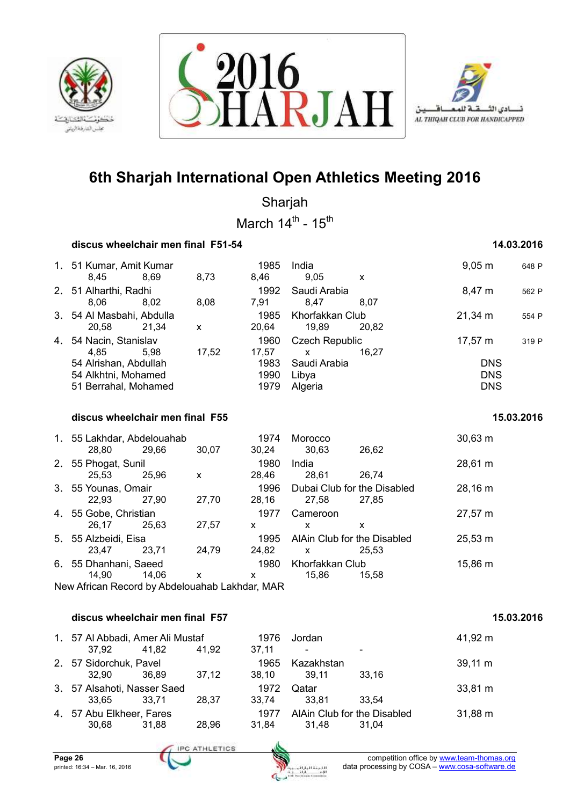





Sharjah March  $14^{\text{th}}$  -  $15^{\text{th}}$ 

### **discus wheelchair men final F51-54 14.03.2016**

| 1. 51 Kumar, Amit Kumar<br>8.45<br>2. 51 Alharthi, Radhi | 8.69  | 8,73                                                                                                                        | 1985<br>8.46  | India<br>9.05        |              | $9,05 \; m$                              | 648 P      |
|----------------------------------------------------------|-------|-----------------------------------------------------------------------------------------------------------------------------|---------------|----------------------|--------------|------------------------------------------|------------|
|                                                          |       |                                                                                                                             |               |                      | X            |                                          |            |
| 8.06                                                     | 8.02  | 8,08                                                                                                                        | 1992<br>7.91  | Saudi Arabia<br>8.47 | 8.07         | 8,47 m                                   | 562 P      |
| 20.58                                                    | 21.34 | X                                                                                                                           | 1985<br>20.64 | 19.89                | 20.82        | $21,34 \text{ m}$                        | 554 P      |
| 4.85                                                     | 5.98  | 17,52                                                                                                                       | 1960<br>17,57 | X                    | 16.27        | $17,57 \; m$                             | 319 P      |
|                                                          |       |                                                                                                                             | 1990<br>1979  | Libya<br>Algeria     |              | <b>DNS</b><br><b>DNS</b>                 |            |
|                                                          |       | 3. 54 Al Masbahi, Abdulla<br>4. 54 Nacin, Stanislav<br>54 Alrishan, Abdullah<br>54 Alkhtni, Mohamed<br>51 Berrahal, Mohamed |               | 1983                 | Saudi Arabia | Khorfakkan Club<br><b>Czech Republic</b> | <b>DNS</b> |

 **discus wheelchair men final F55 15.03.2016** 

|    | 1. 55 Lakhdar, Abdelouahab<br>28,80 | 29.66 | 30,07 | 1974<br>30.24 | Morocco<br>30,63                     | 26,62 | $30,63 \; m$ |
|----|-------------------------------------|-------|-------|---------------|--------------------------------------|-------|--------------|
| 2. | 55 Phogat, Sunil<br>25,53           | 25,96 | x     | 1980<br>28.46 | India<br>28,61                       | 26.74 | 28,61 m      |
|    | 3. 55 Younas, Omair<br>22.93        | 27.90 | 27,70 | 1996<br>28,16 | Dubai Club for the Disabled<br>27,58 | 27,85 | 28,16 m      |
|    | 4. 55 Gobe, Christian<br>26.17      | 25.63 | 27,57 | 1977<br>x     | Cameroon<br>x                        | x     | 27,57 m      |
|    | 5. 55 Alzbeidi, Eisa<br>23.47       | 23.71 | 24,79 | 1995<br>24,82 | AlAin Club for the Disabled<br>X     | 25.53 | $25,53 \; m$ |
| 6. | 55 Dhanhani, Saeed<br>14,90         | 14.06 | x     | 1980<br>X     | Khorfakkan Club<br>15.86             | 15.58 | 15,86 m      |

New African Record by Abdelouahab Lakhdar, MAR

### **discus wheelchair men final F57 15.03.2016**

| 1. 57 Al Abbadi, Amer Ali Mustaf<br>37.92 | 41,82   | 41.92 | 1976<br>37.11 | Jordan                               |       | 41,92 m      |
|-------------------------------------------|---------|-------|---------------|--------------------------------------|-------|--------------|
| 2. 57 Sidorchuk, Pavel<br>32.90           | 36.89   | 37,12 | 1965<br>38.10 | Kazakhstan<br>39.11                  | 33.16 | $39,11 \; m$ |
| 3. 57 Alsahoti, Nasser Saed<br>33.65      | - 33.71 | 28.37 | 1972<br>33,74 | Qatar<br>33.81                       | 33.54 | 33,81 m      |
| 4. 57 Abu Elkheer, Fares<br>30,68         | 31,88   | 28,96 | 1977<br>31,84 | AlAin Club for the Disabled<br>31,48 | 31.04 | 31,88 m      |

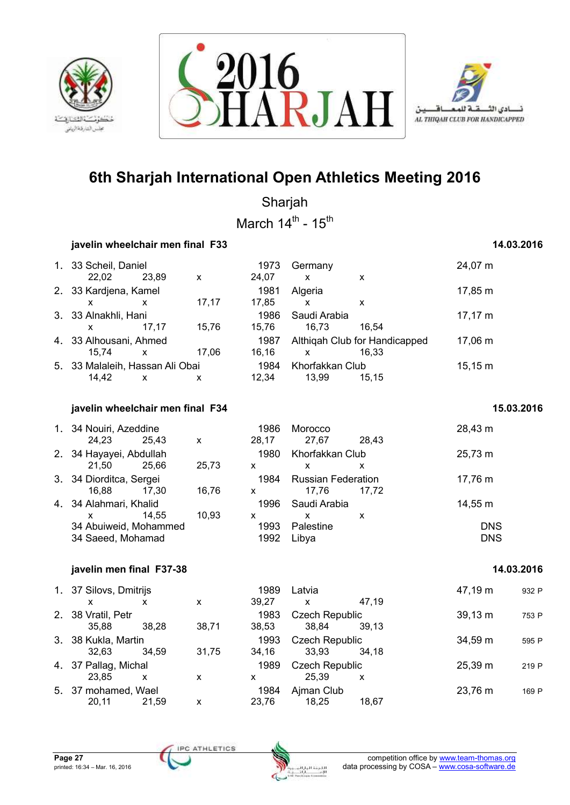





Sharjah March  $14^{\text{th}}$  -  $15^{\text{th}}$ 

### *i***avelin wheelchair men final F33 14.03.2016**

## 1. 33 Scheil, Daniel 1973 Germany 24,07 m 22,02 23,89 x 24,07 x x 2. 33 Kardjena, Kamel 1981 Algeria 1981 Algeria 17,85 m x x 17,17 17,85 x x 3. 33 Alnakhli, Hani 1986 Saudi Arabia 17,17 m x 17,17 15,76 15,76 16,73 16,54 4. 33 Alhousani, Ahmed 1987 Althiqah Club for Handicapped 17,06 m<br>15.74 x 17.06 16.16 x 16.33 15,74 x 17,06 16,16 x 16,33 5. 33 Malaleih, Hassan Ali Obai 1984 Khorfakkan Club 15,15 m 14,42 x x 12,34 13,99 15,15 **iavelin wheelchair men final F34** 15.03.2016 1. 34 Nouiri, Azeddine 1986 Morocco 28,43 m 24,23 25,43 x 28,17 27,67 28,43 2. 34 Hayayei, Abdullah 1980 Khorfakkan Club 25,73 m 21,50 25,66 25,73 x x x 3. 34 Diorditca, Sergei 1984 Russian Federation 17,76 m 16,88 17,30 16,76 x 17,76 17,72 4. 34 Alahmari, Khalid 1996 Saudi Arabia 14,55 m x 14,55 10,93 x x x 34 Abuiweid, Mohammed 1993 Palestine DNS 34 Saeed, Mohamad 2008 2009 2010 1992 Libya 2008 2009 2010 2011 2013  **javelin men final F37-38 14.03.2016**

| 1. 37 Silovs, Dmitrijs |       |       | 1989  | Latvia                    |       | 47,19 m      | 932 P |
|------------------------|-------|-------|-------|---------------------------|-------|--------------|-------|
| x                      | x     | X     | 39.27 | $\boldsymbol{\mathsf{x}}$ | 47.19 |              |       |
| 2. 38 Vratil, Petr     |       |       | 1983  | <b>Czech Republic</b>     |       | $39,13 \; m$ | 753 P |
| 35.88                  | 38.28 | 38,71 | 38,53 | 38.84                     | 39.13 |              |       |
| 3. 38 Kukla, Martin    |       |       | 1993  | <b>Czech Republic</b>     |       | 34,59 m      | 595 P |
| 32.63                  | 34.59 | 31.75 | 34,16 | 33.93                     | 34.18 |              |       |
| 4. 37 Pallag, Michal   |       |       | 1989  | <b>Czech Republic</b>     |       | 25,39 m      | 219 P |
| 23.85                  | x     | x     | x     | 25.39                     | х     |              |       |
| 5. 37 mohamed, Wael    |       |       | 1984  | Ajman Club                |       | 23,76 m      | 169 P |
| 20.11                  | 21.59 | x     | 23.76 | 18.25                     | 18.67 |              |       |

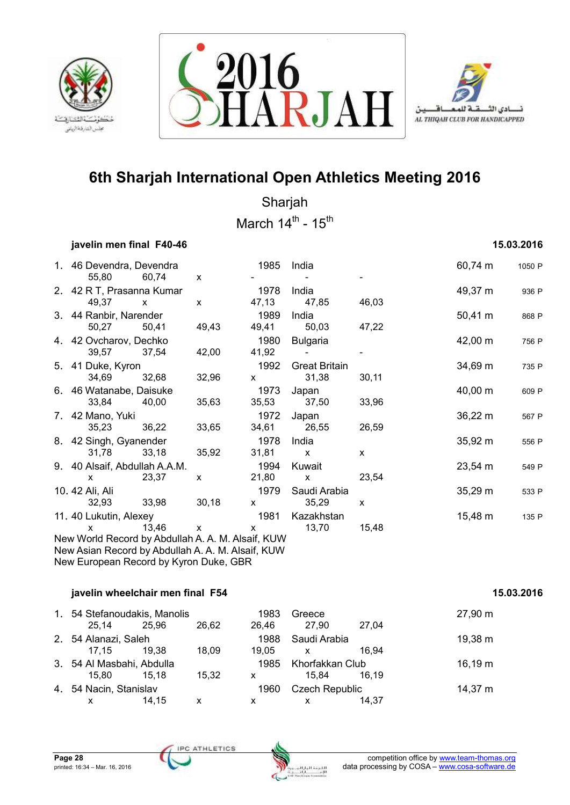





Sharjah March  $14^{\text{th}}$  -  $15^{\text{th}}$ 

## **javelin men final F40-46 15.03.2016**

| 1. 46 Devendra, Devendra<br>55,80                                                           | 60,74        | $\mathsf{x}$ | 1985                                                                                                                                                                                                                                                                                                     | India                         |              | 60,74 m             | 1050 P |
|---------------------------------------------------------------------------------------------|--------------|--------------|----------------------------------------------------------------------------------------------------------------------------------------------------------------------------------------------------------------------------------------------------------------------------------------------------------|-------------------------------|--------------|---------------------|--------|
| 2. 42 R T, Prasanna Kumar<br>49,37                                                          | $\mathsf{x}$ | $\mathsf{x}$ | 1978                                                                                                                                                                                                                                                                                                     | India<br>47,13 47,85          | 46,03        | 49,37 m             | 936 P  |
| 3. 44 Ranbir, Narender<br>50,27                                                             | 50,41        | 49,43        | 1989<br>49,41                                                                                                                                                                                                                                                                                            | India<br>50,03                | 47,22        | $50,41 \; m$        | 868 P  |
| 4. 42 Ovcharov, Dechko<br>39,57 37,54                                                       |              | 42,00        | 1980<br>41,92                                                                                                                                                                                                                                                                                            | Bulgaria                      |              | 42,00 m             | 756 P  |
| 5. 41 Duke, Kyron<br>34,69                                                                  | 32,68        | 32,96        | 1992<br>$\mathsf{X}$ and $\mathsf{X}$ and $\mathsf{X}$ are $\mathsf{X}$ and $\mathsf{X}$ are $\mathsf{X}$ and $\mathsf{X}$ are $\mathsf{X}$ and $\mathsf{X}$ are $\mathsf{X}$ and $\mathsf{X}$ are $\mathsf{X}$ and $\mathsf{X}$ are $\mathsf{X}$ and $\mathsf{X}$ are $\mathsf{X}$ and $\mathsf{X}$ are | <b>Great Britain</b><br>31,38 | 30,11        | 34,69 m             | 735 P  |
| 6. 46 Watanabe, Daisuke<br>33,84                                                            | 40,00        | 35,63        | 1973                                                                                                                                                                                                                                                                                                     | Japan<br>35,53 37,50          | 33,96        | $40,00 \; \text{m}$ | 609 P  |
| 7. 42 Mano, Yuki<br>35,23                                                                   | 36,22        | 33,65        | 1972<br>34,61                                                                                                                                                                                                                                                                                            | Japan<br>26,55                | 26,59        | $36,22 \; m$        | 567 P  |
| 8. 42 Singh, Gyanender<br>31,78                                                             | 33,18        | 35,92        | 1978<br>31,81                                                                                                                                                                                                                                                                                            | India<br>$\mathsf{X}$         | X.           | 35,92 m             | 556 P  |
| 9. 40 Alsaif, Abdullah A.A.M.<br>$\mathsf{x}$                                               | 23,37        | X            | 1994<br>21,80                                                                                                                                                                                                                                                                                            | Kuwait<br>$\mathsf{x}$        | 23,54        | $23,54 \, \text{m}$ | 549 P  |
| 10. 42 Ali, Ali<br>32,93                                                                    | 33,98        | 30,18        | 1979<br>$\mathsf{x}$ and $\mathsf{y}$                                                                                                                                                                                                                                                                    | Saudi Arabia<br>35,29         | $\mathsf{x}$ | $35,29 \text{ m}$   | 533 P  |
| 11. 40 Lukutin, Alexey<br>$\mathsf{x}$<br>New World Record by Abdullah A. A. M. Alsaif, KUW | 13,46        | $\mathsf{X}$ | 1981<br>$\mathsf{X}$ and $\mathsf{X}$ and $\mathsf{X}$ are $\mathsf{X}$ and $\mathsf{X}$ are $\mathsf{X}$ and $\mathsf{X}$ are $\mathsf{X}$ and $\mathsf{X}$ are $\mathsf{X}$ and $\mathsf{X}$ are $\mathsf{X}$ and $\mathsf{X}$ are $\mathsf{X}$ and $\mathsf{X}$ are $\mathsf{X}$ and $\mathsf{X}$ are | Kazakhstan<br>13,70           | 15,48        | 15,48 m             | 135 P  |
| New Asian Record by Abdullah A. A. M. Alsaif, KUW                                           |              |              |                                                                                                                                                                                                                                                                                                          |                               |              |                     |        |

New European Record by Kyron Duke, GBR

## *iavelin wheelchair men final F54* **15.03.2016**

| 1. 54 Stefanoudakis, Manolis |       |       | 1983  | Greece                |       | 27,90 m |
|------------------------------|-------|-------|-------|-----------------------|-------|---------|
| 25.14                        | 25.96 | 26.62 | 26.46 | 27.90                 | 27.04 |         |
| 2. 54 Alanazi, Saleh         |       |       | 1988  | Saudi Arabia          |       | 19,38 m |
| 17.15                        | 19.38 | 18.09 | 19.05 | X                     | 16.94 |         |
| 3. 54 Al Masbahi, Abdulla    |       |       | 1985  | Khorfakkan Club       |       | 16,19 m |
| 15.80                        | 15.18 | 15.32 | x     | 15.84                 | 16.19 |         |
| 4. 54 Nacin, Stanislav       |       |       | 1960  | <b>Czech Republic</b> |       | 14,37 m |
| x                            | 14.15 | х     | x     | x                     | 14.37 |         |

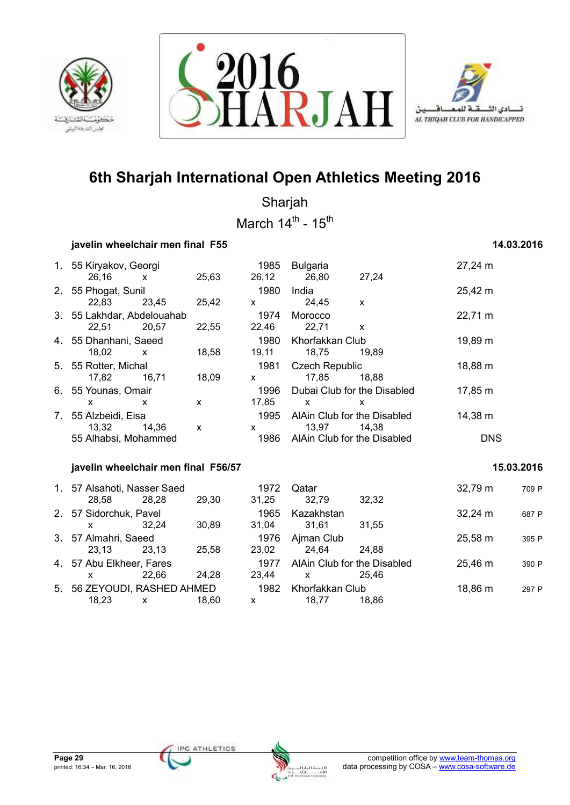





Sharjah March  $14^{\text{th}}$  -  $15^{\text{th}}$ 

### *javelin wheelchair men final F55* **14.03.2016**

|    | 1. 55 Kiryakov, Georgi<br>26,16          | $\mathsf{x}$ | 25,63        | 1985<br>26,12                                                                                                                                                                                                                                                                                            | Bulgaria<br>26,80                           | 27,24        | 27,24 m      |            |
|----|------------------------------------------|--------------|--------------|----------------------------------------------------------------------------------------------------------------------------------------------------------------------------------------------------------------------------------------------------------------------------------------------------------|---------------------------------------------|--------------|--------------|------------|
|    | 2. 55 Phogat, Sunil<br>22,83             | 23,45        | 25,42        | 1980<br>$\mathsf{X}^-$                                                                                                                                                                                                                                                                                   | India<br>24,45                              | X            | 25,42 m      |            |
|    | 3. 55 Lakhdar, Abdelouahab<br>22,51      | 20,57        | 22,55        | 1974<br>22,46                                                                                                                                                                                                                                                                                            | Morocco<br>22,71                            | $\mathsf{x}$ | 22,71 m      |            |
|    | 4. 55 Dhanhani, Saeed<br>18,02           | $\mathsf{x}$ | 18,58        | 1980<br>19,11                                                                                                                                                                                                                                                                                            | Khorfakkan Club<br>18,75                    | 19,89        | 19,89 m      |            |
|    | 5. 55 Rotter, Michal<br>17,82            | 16,71        | 18,09        | 1981<br>$\mathsf{X}$ and $\mathsf{X}$                                                                                                                                                                                                                                                                    | <b>Czech Republic</b><br>17,85              | 18,88        | 18,88 m      |            |
|    | 6. 55 Younas, Omair<br>$\mathsf{x}$      | X            | $\mathsf{x}$ | 1996<br>17,85                                                                                                                                                                                                                                                                                            | Dubai Club for the Disabled<br>$\mathsf{x}$ | X            | 17,85 m      |            |
| 7. | 55 Alzbeidi, Eisa<br>13,32               | 14,36        | $\mathsf{x}$ | 1995<br>$\mathsf{X}$ and $\mathsf{X}$ and $\mathsf{X}$ and $\mathsf{X}$ are $\mathsf{X}$ and $\mathsf{X}$ and $\mathsf{X}$ are $\mathsf{X}$ and $\mathsf{X}$ are $\mathsf{X}$ and $\mathsf{X}$ are $\mathsf{X}$ and $\mathsf{X}$ are $\mathsf{X}$ and $\mathsf{X}$ are $\mathsf{X}$ and $\mathsf{X}$ are | AlAin Club for the Disabled<br>13,97        | 14,38        | 14,38 m      |            |
|    | 55 Alhabsi, Mohammed                     |              |              | 1986                                                                                                                                                                                                                                                                                                     | AlAin Club for the Disabled                 |              | <b>DNS</b>   |            |
|    | javelin wheelchair men final F56/57      |              |              |                                                                                                                                                                                                                                                                                                          |                                             |              |              | 15.03.2016 |
|    | 1. 57 Alsahoti, Nasser Saed<br>28,58     | 28,28        | 29,30        | 1972<br>31,25                                                                                                                                                                                                                                                                                            | Qatar<br>32,79                              | 32,32        | 32,79 m      | 709 P      |
|    | 2. 57 Sidorchuk, Pavel<br><b>X</b>       | 32,24        | 30,89        | 1965<br>31,04                                                                                                                                                                                                                                                                                            | Kazakhstan<br>31,61                         | 31,55        | $32,24 \, m$ | 687 P      |
|    | 3. 57 Almahri, Saeed<br>23,13            | 23,13        | 25,58        | 1976<br>23,02                                                                                                                                                                                                                                                                                            | Ajman Club<br>24,64                         | 24,88        | 25,58 m      | 395 P      |
|    |                                          |              |              |                                                                                                                                                                                                                                                                                                          | AlAin Club for the Disabled                 |              | 25,46 m      |            |
|    | 4. 57 Abu Elkheer, Fares<br>$\mathsf{x}$ | 22,66        | 24,28        | 1977<br>23,44                                                                                                                                                                                                                                                                                            | $\mathsf{x}$                                | 25,46        |              | 390 P      |

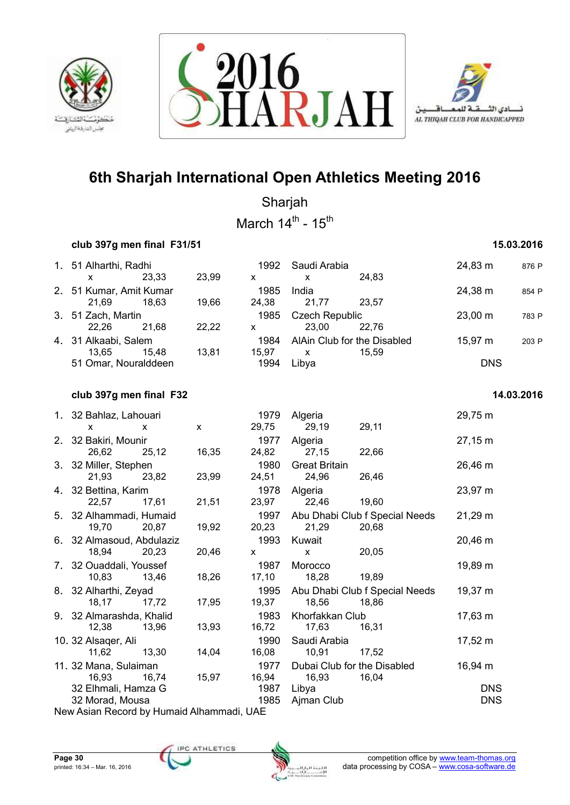





Sharjah

March  $14^{\text{th}}$  -  $15^{\text{th}}$ 

## **club 397g men final F31/51 15.03.2016**

| 1. 51 Alharthi, Radhi            |       |       | 1992          | Saudi Arabia                   |                                      | 24,83 m    | 876 P |
|----------------------------------|-------|-------|---------------|--------------------------------|--------------------------------------|------------|-------|
| x                                | 23.33 | 23.99 | x             | x                              | 24.83                                |            |       |
| 2. 51 Kumar, Amit Kumar<br>21.69 | 18.63 | 19.66 | 1985<br>24.38 | India<br>21.77                 | 23.57                                | 24,38 m    | 854 P |
| 3. 51 Zach, Martin<br>22.26      | 21.68 | 22,22 | 1985<br>x     | <b>Czech Republic</b><br>23.00 | 22.76                                | 23,00 m    | 783 P |
| 4. 31 Alkaabi, Salem<br>13.65    | 15.48 | 13.81 | 1984<br>15.97 | X                              | AlAin Club for the Disabled<br>15.59 | 15,97 m    | 203 P |
| 51 Omar, Nouralddeen             |       |       | 1994          | Libva                          |                                      | <b>DNS</b> |       |

## *club* **397g men final F32 14.03.2016 <b>14.03.2016**

## 1. 32 Bahlaz, Lahouari 1979 Algeria 29,75 m x x x 29,75 29,19 29,11 2. 32 Bakiri, Mounir 1977 Algeria 27,15 m 26,62 25,12 16,35 24,82 27,15 22,66 3. 32 Miller, Stephen 1980 Great Britain 26,46 m 21,93 23,82 23,99 24,51 24,96 26,46 4. 32 Bettina, Karim 1978 Algeria 23,97 m 22,57 17,61 21,51 23,97 22,46 19,60 5. 32 Alhammadi, Humaid 1997 Abu Dhabi Club f Special Needs 21,29 m 19,70 20,87 19,92 20,23 21,29 20,68 6. 32 Almasoud, Abdulaziz 1993 Kuwait 20,46 m 18,94 20,23 20,46 x x 20,05 7. 32 Ouaddali, Youssef 1987 Morocco 19,89 m 10,83 13,46 18,26 17,10 18,28 19,89 8. 32 Alharthi, Zeyad 1995 Abu Dhabi Club f Special Needs 19,37 m 18,17 17,72 17,95 19,37 18,56 18,86 9. 32 Almarashda, Khalid 1983 Khorfakkan Club 17,63 m 12,38 13,96 13,93 16,72 17,63 16,31 10. 32 Alsaqer, Ali 1990 Saudi Arabia 17,52 m 11,62 13,30 14,04 16,08 10,91 17,52 11. 32 Mana, Sulaiman 1977 Dubai Club for the Disabled 16,94 m 16,93 16,74 15,97 16,94 16,93 16,04 32 Elhmali, Hamza G 1987 Libya DNS 32 Morad, Mousa 1985 Ajman Club DNS

New Asian Record by Humaid Alhammadi, UAE

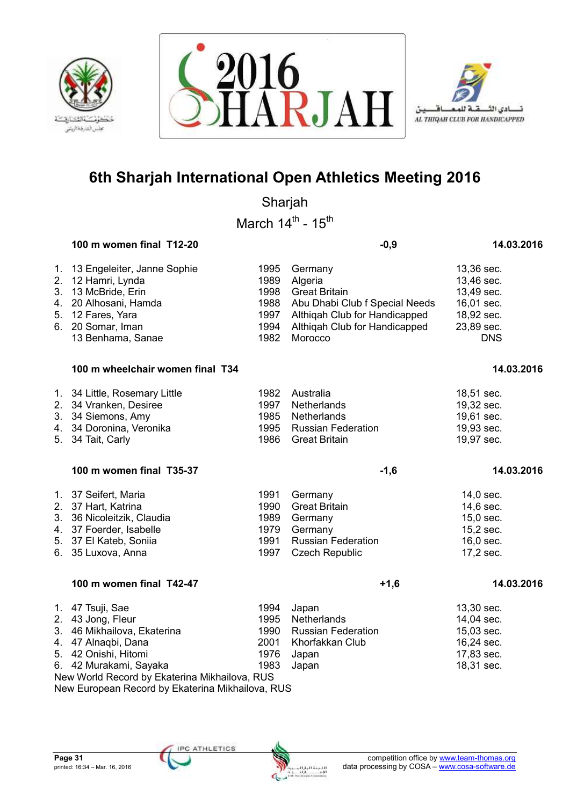





Sharjah

March  $14^{\text{th}}$  -  $15^{\text{th}}$ 

## **100 m women final T12-20 -0,9 14.03.2016**

| 1. 13 Engeleiter, Janne Sophie |      | 1995 Germany                        | 13,36 sec. |
|--------------------------------|------|-------------------------------------|------------|
| 2. 12 Hamri, Lynda             | 1989 | Algeria                             | 13,46 sec. |
| 3. 13 McBride, Erin            |      | 1998 Great Britain                  | 13,49 sec. |
| 4. 20 Alhosani, Hamda          |      | 1988 Abu Dhabi Club f Special Needs | 16,01 sec. |
| 5. 12 Fares, Yara              |      | 1997 Althigah Club for Handicapped  | 18,92 sec. |
| 6. 20 Somar, Iman              |      | 1994 Althigah Club for Handicapped  | 23,89 sec. |
| 13 Benhama, Sanae              | 1982 | Morocco                             | <b>DNS</b> |

### **100 m wheelchair women final T34 14.03.2016** 100 m  $\frac{14.032016}{14.032016}$

| 1. 34 Little, Rosemary Little | 1982 Australia          | 18,51 sec. |
|-------------------------------|-------------------------|------------|
| 2. 34 Vranken, Desiree        | 1997 Netherlands        | 19,32 sec. |
| 3. 34 Siemons, Amy            | 1985 Netherlands        | 19,61 sec. |
| 4. 34 Doronina, Veronika      | 1995 Russian Federation | 19,93 sec. |
| 5. 34 Tait, Carly             | 1986 Great Britain      | 19,97 sec. |

### **100 m women final T35-37 -1,6 14.03.2016**

| 1. 37 Seifert, Maria       | 1991<br>1990 | Germany                 | 14,0 sec.   |
|----------------------------|--------------|-------------------------|-------------|
| 2. 37 Hart, Katrina        |              | Great Britain           | $14,6$ sec. |
| 3. 36 Nicoleitzik, Claudia |              | 1989 Germany            | $15,0$ sec. |
| 4. 37 Foerder, Isabelle    |              | 1979 Germany            | $15,2$ sec. |
| 5. 37 El Kateb, Soniia     |              | 1991 Russian Federation | $16,0$ sec. |
| 6. 35 Luxova, Anna         |              | 1997 Czech Republic     | 17,2 sec.   |

## **100 m women final T42-47 +1.6 +1.6 14.03.2016**

| 1. 47 Tsuji, Sae                              | 1994 | Japan                     | 13,30 sec.   |  |  |  |
|-----------------------------------------------|------|---------------------------|--------------|--|--|--|
| 2. 43 Jong, Fleur                             | 1995 | Netherlands               | 14,04 sec.   |  |  |  |
| 3. 46 Mikhailova, Ekaterina                   | 1990 | <b>Russian Federation</b> | $15,03$ sec. |  |  |  |
| 4. 47 Alnaqbi, Dana                           | 2001 | Khorfakkan Club           | 16,24 sec.   |  |  |  |
| 5. 42 Onishi, Hitomi                          | 1976 | Japan                     | 17,83 sec.   |  |  |  |
| 6. 42 Murakami, Sayaka                        | 1983 | Japan                     | 18,31 sec.   |  |  |  |
| New World Record by Ekaterina Mikhailova, RUS |      |                           |              |  |  |  |

New European Record by Ekaterina Mikhailova, RUS

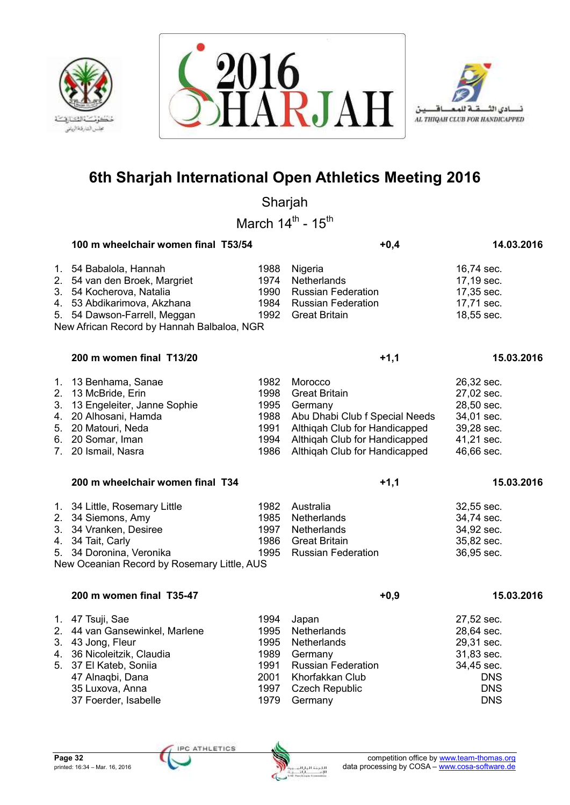





Sharjah

March  $14^{\text{th}}$  -  $15^{\text{th}}$ 

|                                        | 100 m wheelchair women final T53/54                                                                                                                                                           |                                                      | $+0,4$                                                                                                                                                                          | 14.03.2016                                                                                     |
|----------------------------------------|-----------------------------------------------------------------------------------------------------------------------------------------------------------------------------------------------|------------------------------------------------------|---------------------------------------------------------------------------------------------------------------------------------------------------------------------------------|------------------------------------------------------------------------------------------------|
| 2.                                     | 1. 54 Babalola, Hannah<br>54 van den Broek, Margriet<br>3. 54 Kocherova, Natalia<br>4. 53 Abdikarimova, Akzhana<br>5. 54 Dawson-Farrell, Meggan<br>New African Record by Hannah Balbaloa, NGR | 1988<br>1974<br>1990<br>1984<br>1992                 | Nigeria<br>Netherlands<br><b>Russian Federation</b><br><b>Russian Federation</b><br><b>Great Britain</b>                                                                        | 16,74 sec.<br>17,19 sec.<br>17,35 sec.<br>17,71 sec.<br>18,55 sec.                             |
|                                        | 200 m women final T13/20                                                                                                                                                                      |                                                      | $+1,1$                                                                                                                                                                          | 15.03.2016                                                                                     |
| 2.<br>3.<br>4.<br>5.<br>7 <sub>1</sub> | 1. 13 Benhama, Sanae<br>13 McBride, Erin<br>13 Engeleiter, Janne Sophie<br>20 Alhosani, Hamda<br>20 Matouri, Neda<br>6. 20 Somar, Iman<br>20 Ismail, Nasra                                    | 1982<br>1998<br>1995<br>1988<br>1991<br>1994<br>1986 | Morocco<br><b>Great Britain</b><br>Germany<br>Abu Dhabi Club f Special Needs<br>Althiqah Club for Handicapped<br>Althiqah Club for Handicapped<br>Althiqah Club for Handicapped | 26,32 sec.<br>27,02 sec.<br>28,50 sec.<br>34,01 sec.<br>39,28 sec.<br>41,21 sec.<br>46,66 sec. |
|                                        |                                                                                                                                                                                               |                                                      |                                                                                                                                                                                 |                                                                                                |
|                                        | 200 m wheelchair women final T34                                                                                                                                                              |                                                      | $+1,1$                                                                                                                                                                          | 15.03.2016                                                                                     |
|                                        | 1. 34 Little, Rosemary Little<br>2. 34 Siemons, Amy<br>3. 34 Vranken, Desiree<br>4. 34 Tait, Carly<br>5. 34 Doronina, Veronika<br>New Oceanian Record by Rosemary Little, AUS                 | 1982<br>1985<br>1997<br>1986<br>1995                 | Australia<br>Netherlands<br>Netherlands<br><b>Great Britain</b><br><b>Russian Federation</b>                                                                                    | 32,55 sec.<br>34,74 sec.<br>34,92 sec.<br>35,82 sec.<br>36,95 sec.                             |
|                                        | 200 m women final T35-47                                                                                                                                                                      |                                                      | $+0,9$                                                                                                                                                                          | 15.03.2016                                                                                     |

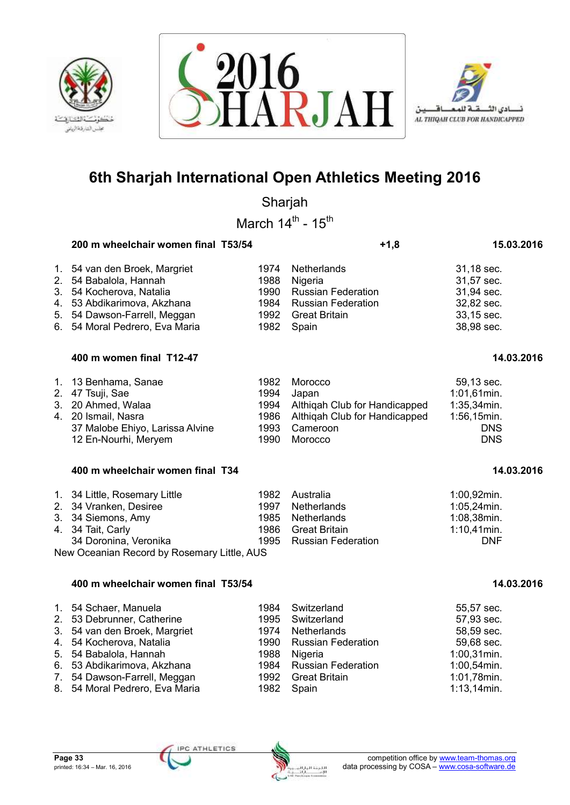





Sharjah

March  $14^{\text{th}}$  -  $15^{\text{th}}$ 

|                | 200 m wheelchair women final T53/54 |       | $+1,8$                        | 15.03.2016     |
|----------------|-------------------------------------|-------|-------------------------------|----------------|
|                | 1. 54 van den Broek, Margriet       | 1974  | <b>Netherlands</b>            | 31,18 sec.     |
| 2 <sub>1</sub> | 54 Babalola, Hannah                 | 1988  | Nigeria                       | 31,57 sec.     |
| 3.             | 54 Kocherova, Natalia               | 1990  | <b>Russian Federation</b>     | 31,94 sec.     |
| 4.             | 53 Abdikarimova, Akzhana            | 1984  | <b>Russian Federation</b>     | 32,82 sec.     |
|                | 5. 54 Dawson-Farrell, Meggan        | 1992  | <b>Great Britain</b>          | 33,15 sec.     |
| 6.             | 54 Moral Pedrero, Eva Maria         | 1982  | Spain                         | 38,98 sec.     |
|                | 400 m women final T12-47            |       |                               | 14.03.2016     |
|                | 1. 13 Benhama, Sanae                | 1982  | Morocco                       | 59,13 sec.     |
| 2.             | 47 Tsuji, Sae                       | 1994  | Japan                         | $1:01,61$ min. |
| 3.             | 20 Ahmed, Walaa                     | 1994  | Althigah Club for Handicapped | $1:35,34$ min. |
| Δ              | 20 Ismail Nasra                     | 1986. | Althinah Club for Handicanned | 1·56 15min     |

| 4.   20 Ismail, Nasra           | 1986 Althigah Club for Handicapped | $1:56,15$ min. |
|---------------------------------|------------------------------------|----------------|
| 37 Malobe Ehiyo, Larissa Alvine | 1993 Cameroon                      | <b>DNS</b>     |
| 12 En-Nourhi, Meryem            | 1990 Morocco                       | <b>DNS</b>     |
|                                 |                                    |                |

| 400 m wheelchair women final T34 | 14.03.2016 |
|----------------------------------|------------|
|----------------------------------|------------|

| 1. 34 Little, Rosemary Little<br>2. 34 Vranken, Desiree<br>3. 34 Siemons, Amy<br>4. 34 Tait, Carly<br>34 Doronina, Veronika |  | 1982 Australia<br>1997 Netherlands<br>1985 Netherlands<br>1986 Great Britain<br>1995 Russian Federation | 1:00,92min.<br>$1:05,24$ min.<br>1:08,38min.<br>$1:10,41$ min.<br><b>DNF</b> |  |  |  |
|-----------------------------------------------------------------------------------------------------------------------------|--|---------------------------------------------------------------------------------------------------------|------------------------------------------------------------------------------|--|--|--|
| New Oceanian Pecard by Pesemany Little, ALIS                                                                                |  |                                                                                                         |                                                                              |  |  |  |

New Oceanian Record by Rosemary Little, AUS

## **400 m wheelchair women final T53/54 14.03.2016**

| 1. 54 Schaer, Manuela          | 1988 | 1984 Switzerland        | 55,57 sec.     |
|--------------------------------|------|-------------------------|----------------|
| 2. 53 Debrunner, Catherine     |      | 1995 Switzerland        | 57,93 sec.     |
| 3. 54 van den Broek, Margriet  |      | 1974 Netherlands        | 58,59 sec.     |
| 4. 54 Kocherova, Natalia       |      | 1990 Russian Federation | 59,68 sec.     |
| 5. 54 Babalola, Hannah         |      | Nigeria                 | $1:00,31$ min. |
| 6. 53 Abdikarimova, Akzhana    |      | 1984 Russian Federation | 1:00,54min.    |
| 7. 54 Dawson-Farrell, Meggan   |      | 1992 Great Britain      | 1:01,78min.    |
| 8. 54 Moral Pedrero, Eva Maria |      | 1982 Spain              | $1:13,14$ min. |

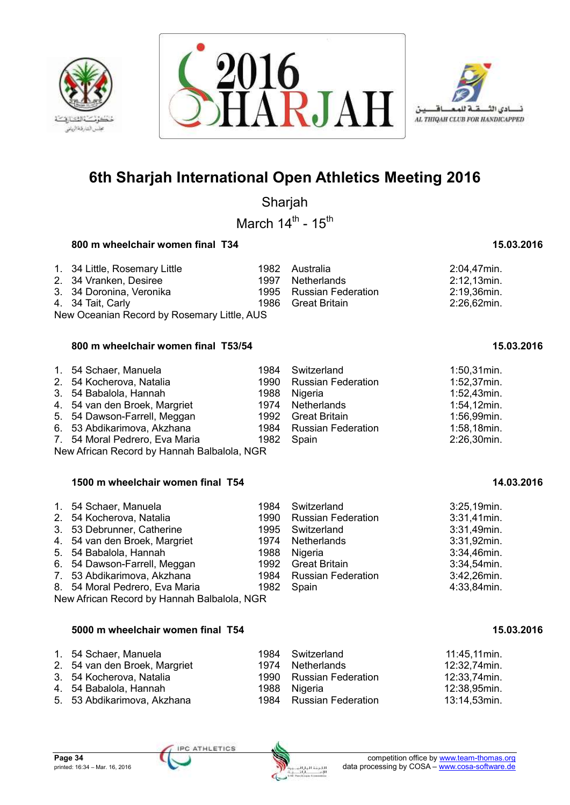





Sharjah

March  $14^{\text{th}}$  -  $15^{\text{th}}$ 

## **800 m wheelchair women final T34 15.03.2016** 15.03.2016

| 1. 34 Little, Rosemary Little<br>2. 34 Vranken, Desiree<br>3. 34 Doronina, Veronika<br>4.   34 Tait, Carly |  |  | 2:04,47min.<br>2:12,13min.<br>2:19,36min.<br>2:26,62min.                            |  |  |  |
|------------------------------------------------------------------------------------------------------------|--|--|-------------------------------------------------------------------------------------|--|--|--|
| New Oceanian Record by Rosemary Little, AUS                                                                |  |  |                                                                                     |  |  |  |
|                                                                                                            |  |  | 1982 Australia<br>1997 Netherlands<br>1995 Russian Federation<br>1986 Great Britain |  |  |  |

## **800 m wheelchair women final T53/54 15.03.2016**

| 1. 54 Schaer, Manuela                       | 1984 Switzerland        | $1:50,31$ min. |
|---------------------------------------------|-------------------------|----------------|
| 2. 54 Kocherova, Natalia                    | 1990 Russian Federation | $1:52,37$ min. |
| 3. 54 Babalola, Hannah                      | 1988 Nigeria            | $1:52,43$ min. |
| 4. 54 van den Broek, Margriet               | 1974 Netherlands        | $1:54,12$ min. |
| 5. 54 Dawson-Farrell, Meggan                | 1992 Great Britain      | 1:56,99min.    |
| 6. 53 Abdikarimova, Akzhana                 | 1984 Russian Federation | 1:58,18min.    |
| 7. 54 Moral Pedrero, Eva Maria              | 1982 Spain              | 2:26,30min.    |
| New African Record by Hannah Balbalola, NGR |                         |                |

New African Record by Hannah Balbalola, NGR

| 1. 54 Schaer, Manuela<br>2. 54 Kocherova, Natalia<br>3. 53 Debrunner, Catherine<br>4. 54 van den Broek, Margriet<br>5. 54 Babalola, Hannah<br>6. 54 Dawson-Farrell, Meggan<br>7. 53 Abdikarimova, Akzhana<br>8. 54 Moral Pedrero, Eva Maria | 1984 | Switzerland<br>1990 Russian Federation<br>1995 Switzerland<br>1974 Netherlands<br>1988 Nigeria<br>1992 Great Britain<br>1984 Russian Federation | 3:25,19min.<br>$3:31,41$ min.<br>3:31,49min.<br>3:31,92min.<br>3:34,46min.<br>3:34,54min.<br>3:42,26min.<br>4:33,84min. |  |  |  |
|---------------------------------------------------------------------------------------------------------------------------------------------------------------------------------------------------------------------------------------------|------|-------------------------------------------------------------------------------------------------------------------------------------------------|-------------------------------------------------------------------------------------------------------------------------|--|--|--|
| 1982 Spain<br>New African Record by Hannah Balbalola, NGR                                                                                                                                                                                   |      |                                                                                                                                                 |                                                                                                                         |  |  |  |

### **5000 m wheelchair women final T54 15.03.2016**

| 1. 54 Schaer, Manuela         | 1984 Switzerland        | 11:45,11min. |
|-------------------------------|-------------------------|--------------|
| 2. 54 van den Broek, Margriet | 1974 Netherlands        | 12:32,74min. |
| 3. 54 Kocherova, Natalia      | 1990 Russian Federation | 12:33,74min. |
| 4.   54 Babalola, Hannah      | 1988 Nigeria            | 12:38,95min. |

5. 53 Abdikarimova, Akzhana 1984 Russian Federation 13:14,53min.

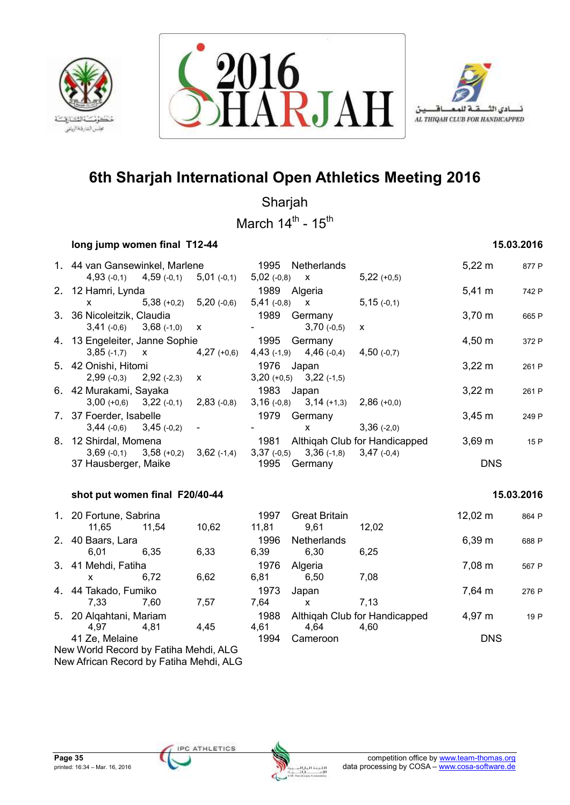





Sharjah

March  $14^{\text{th}}$  -  $15^{\text{th}}$ 

## **long jump women final T12-44 15.03.2016**

| 1. 44 van Gansewinkel, Marlene                                  |                             |                                    | 1995 Netherlands                                                                                                                                                                                                                                                                                 |               | $5,22 \, \text{m}$  | 877 P      |
|-----------------------------------------------------------------|-----------------------------|------------------------------------|--------------------------------------------------------------------------------------------------------------------------------------------------------------------------------------------------------------------------------------------------------------------------------------------------|---------------|---------------------|------------|
| 4,93 $(-0,1)$ 4,59 $(-0,1)$ 5,01 $(-0,1)$<br>2. 12 Hamri, Lynda |                             | 1989 Algeria                       | $5,02(-0,8)$ x                                                                                                                                                                                                                                                                                   | $5,22 (+0,5)$ | $5,41 \text{ m}$    | 742 P      |
| $\mathsf{x}$                                                    | $5,38 (+0,2)$ $5,20 (-0,6)$ |                                    | $5,41$ (-0,8) $\times$ $5,15$ (-0,1)                                                                                                                                                                                                                                                             |               |                     |            |
| 3. 36 Nicoleitzik, Claudia                                      |                             | 1989                               | Germany                                                                                                                                                                                                                                                                                          |               | $3,70 \; m$         | 665 P      |
| $3,41$ (-0,6) $3,68$ (-1,0) $\times$                            |                             |                                    | $3,70(-0,5)$                                                                                                                                                                                                                                                                                     | $\mathsf{x}$  |                     |            |
| 4. 13 Engeleiter, Janne Sophie                                  |                             | 1995                               | Germany                                                                                                                                                                                                                                                                                          |               | $4,50 \; m$         | 372 P      |
| $3,85(-1,7)$ x $4,27(+0,6)$                                     |                             |                                    | 4,43 $(-1,9)$ 4,46 $(-0,4)$ 4,50 $(-0,7)$                                                                                                                                                                                                                                                        |               |                     |            |
| 5. 42 Onishi, Hitomi                                            |                             | 1976                               | Japan                                                                                                                                                                                                                                                                                            |               | $3,22 \, m$         | 261 P      |
| $2,99(-0,3)$ $2,92(-2,3)$ x                                     |                             |                                    | $3,20 (+0,5)$ $3,22 (+1,5)$                                                                                                                                                                                                                                                                      |               |                     |            |
| 6. 42 Murakami, Sayaka                                          |                             |                                    | 1983 Japan                                                                                                                                                                                                                                                                                       |               | $3,22 \, m$         | 261 P      |
| $3,00 (+0,6)$ $3,22 (+0,1)$ $2,83 (+0,8)$                       |                             |                                    | $3,16(-0,8)$ $3,14(+1,3)$ $2,86(+0,0)$                                                                                                                                                                                                                                                           |               |                     |            |
| 7. 37 Foerder, Isabelle                                         |                             | 1979                               | Germany                                                                                                                                                                                                                                                                                          |               | $3,45 \; m$         | 249 P      |
| $3,44 (-0,6)$ $3,45 (-0,2)$ -                                   |                             |                                    | $\mathsf{X}$ and $\mathsf{X}$ and $\mathsf{X}$ are $\mathsf{X}$ and $\mathsf{X}$ are $\mathsf{X}$ and $\mathsf{X}$ are $\mathsf{X}$ and $\mathsf{X}$ are $\mathsf{X}$ and $\mathsf{X}$ are $\mathsf{X}$ and $\mathsf{X}$ are $\mathsf{X}$ and $\mathsf{X}$ are $\mathsf{X}$ and $\mathsf{X}$ are | $3,36(-2,0)$  |                     |            |
| 8. 12 Shirdal, Momena                                           |                             | 1981 Althigah Club for Handicapped |                                                                                                                                                                                                                                                                                                  |               | $3,69 \; m$         | 15 P       |
| $3,69(-0,1)$ $3,58(+0,2)$                                       |                             |                                    | $3,62$ (-1,4) $3,37$ (-0,5) $3,36$ (-1,8) $3,47$ (-0,4)                                                                                                                                                                                                                                          |               |                     |            |
| 37 Hausberger, Maike                                            |                             | 1995 Germany                       |                                                                                                                                                                                                                                                                                                  |               | <b>DNS</b>          |            |
|                                                                 |                             |                                    |                                                                                                                                                                                                                                                                                                  |               |                     |            |
| shot put women final F20/40-44                                  |                             |                                    |                                                                                                                                                                                                                                                                                                  |               |                     | 15.03.2016 |
| 1. 20 Fortune, Sabrina                                          |                             | 1997                               | <b>Great Britain</b>                                                                                                                                                                                                                                                                             |               | $12,02 \; \text{m}$ | 864 P      |
| 11,65 11,54                                                     | 10,62                       | 11,81                              | 9,61                                                                                                                                                                                                                                                                                             | 12,02         |                     |            |
| 2. 40 Baars, Lara                                               |                             | 1996                               | Netherlands                                                                                                                                                                                                                                                                                      |               | 6,39 m              | 688 P      |
| 6,01<br>6,35                                                    | 6,33                        | 6,39                               | 6,30                                                                                                                                                                                                                                                                                             | 6,25          |                     |            |
| 3. 41 Mehdi, Fatiha                                             |                             | 1976                               | Algeria                                                                                                                                                                                                                                                                                          |               | $7,08 \; m$         | 567 P      |
| $\sim$ 70                                                       | 0.00                        | 0.04                               |                                                                                                                                                                                                                                                                                                  | 7.00          |                     |            |

|                         | 6,72 | 6.62                                    | 6.81 | 6.50     | 7,08                          |                  |       |
|-------------------------|------|-----------------------------------------|------|----------|-------------------------------|------------------|-------|
| 4. 44 Takado, Fumiko    |      |                                         | 1973 | Japan    |                               | $7.64 \text{ m}$ | 276 P |
| 7.33                    | 7.60 | 7.57                                    | 7.64 | x        | 7.13                          |                  |       |
| 5. 20 Algahtani, Mariam |      |                                         | 1988 |          | Althigah Club for Handicapped | 4,97 m           | 19 P  |
| 4.97                    | 4.81 | 4.45                                    | 4.61 | 4.64     | 4.60                          |                  |       |
| 41 Ze, Melaine          |      |                                         | 1994 | Cameroon |                               | <b>DNS</b>       |       |
|                         |      | New World Record by Fatiha Mehdi, ALG   |      |          |                               |                  |       |
|                         |      | New African Record by Fatiha Mehdi, ALG |      |          |                               |                  |       |

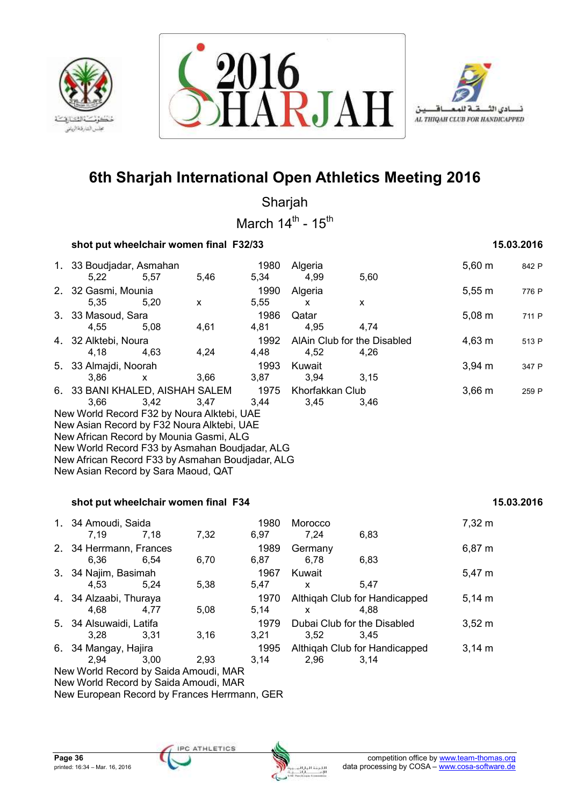





Sharjah March  $14^{\text{th}}$  -  $15^{\text{th}}$ 

|                                                                                                                                                                                                                                                                                          | shot put wheelchair women final F32/33 |      |              |                                     |                                       |             |       |  |  |  |  |
|------------------------------------------------------------------------------------------------------------------------------------------------------------------------------------------------------------------------------------------------------------------------------------------|----------------------------------------|------|--------------|-------------------------------------|---------------------------------------|-------------|-------|--|--|--|--|
| 1. 33 Boudjadar, Asmahan<br>5,22                                                                                                                                                                                                                                                         | 5,57                                   | 5,46 | 1980<br>5,34 | Algeria<br>4,99                     | 5,60                                  | $5,60 \; m$ | 842 P |  |  |  |  |
| 2. 32 Gasmi, Mounia<br>5,35                                                                                                                                                                                                                                                              | 5,20                                   | X    | 1990<br>5,55 | Algeria<br>X                        | X                                     | 5,55 m      | 776 P |  |  |  |  |
| 3. 33 Masoud, Sara<br>4,55                                                                                                                                                                                                                                                               | 5,08                                   | 4,61 | 1986<br>4,81 | Qatar<br>4,95                       | 4,74                                  | $5,08 \; m$ | 711 P |  |  |  |  |
| 4. 32 Alktebi, Noura<br>4,18                                                                                                                                                                                                                                                             | 4,63                                   | 4,24 | 1992<br>4,48 | AlAin Club for the Disabled<br>4,52 | 4,26                                  | 4,63 m      | 513 P |  |  |  |  |
| 5. 33 Almajdi, Noorah<br>3,86                                                                                                                                                                                                                                                            | X                                      | 3,66 | 1993<br>3,87 | Kuwait<br>3,94                      | 3,15                                  | $3,94 \, m$ | 347 P |  |  |  |  |
| 3,66<br>New World Record F32 by Noura Alktebi, UAE<br>New Asian Record by F32 Noura Alktebi, UAE<br>New African Record by Mounia Gasmi, ALG<br>New World Record F33 by Asmahan Boudjadar, ALG<br>New African Record F33 by Asmahan Boudjadar, ALG<br>New Asian Record by Sara Maoud, QAT | 3,42                                   | 3,47 | 3,44         | 3,45                                | 3,46                                  |             |       |  |  |  |  |
| shot put wheelchair women final F34                                                                                                                                                                                                                                                      |                                        |      |              |                                     |                                       | 15.03.2016  |       |  |  |  |  |
| 1. 34 Amoudi, Saida<br>7,19                                                                                                                                                                                                                                                              | 7,18                                   | 7,32 | 1980<br>6,97 | Morocco<br>7,24                     | 6,83                                  | 7,32 m      |       |  |  |  |  |
| 2. 34 Herrmann, Frances<br>6,36                                                                                                                                                                                                                                                          | 6,54                                   | 6,70 | 1989<br>6,87 | Germany<br>6,78                     | 6,83                                  | 6,87 m      |       |  |  |  |  |
| 3. 34 Najim, Basimah<br>4,53                                                                                                                                                                                                                                                             | 5,24                                   | 5,38 | 1967<br>5,47 | Kuwait<br>X                         | 5,47                                  | 5,47 m      |       |  |  |  |  |
| 4. 34 Alzaabi, Thuraya<br>4,68                                                                                                                                                                                                                                                           | 4,77                                   | 5,08 | 1970<br>5,14 | X                                   | Althiqah Club for Handicapped<br>4,88 | $5,14 \; m$ |       |  |  |  |  |
| 5. 34 Alsuwaidi, Latifa<br>3,28                                                                                                                                                                                                                                                          | 3,31                                   | 3,16 | 1979<br>3,21 | Dubai Club for the Disabled<br>3,52 | 3,45                                  | $3,52 \; m$ |       |  |  |  |  |

2,94 3,00 2,93 3,14 2,96 3,14 New World Record by Saida Amoudi, MAR New World Record by Saida Amoudi, MAR New European Record by Frances Herrmann, GER

ATHLETICS

6. 34 Mangay, Hajira 1995 Althiqah Club for Handicapped 3,14 m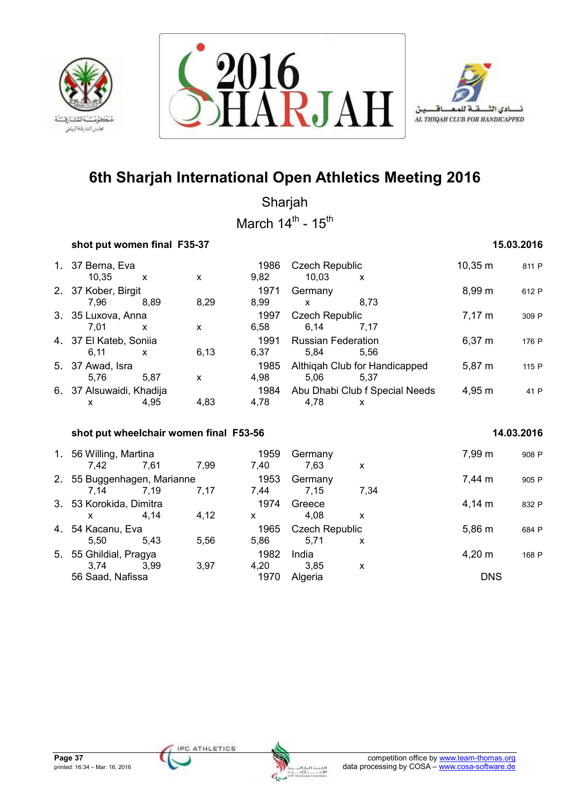





Sharjah March  $14^{\text{th}}$  -  $15^{\text{th}}$ 

## **shot put women final F35-37 15.03.2016**

| 1. 37 Berna, Eva<br>10,35      | $\boldsymbol{\mathsf{x}}$ | X    | 1986<br>9,82 | <b>Czech Republic</b><br>10,03    | X                                     | 10,35 m     | 811 P |
|--------------------------------|---------------------------|------|--------------|-----------------------------------|---------------------------------------|-------------|-------|
| 2. 37 Kober, Birgit<br>7,96    | 8,89                      | 8,29 | 1971<br>8,99 | Germany<br>X                      | 8.73                                  | 8,99 m      | 612 P |
| 3. 35 Luxova, Anna<br>7,01     | X                         | X    | 1997<br>6,58 | <b>Czech Republic</b><br>6,14     | 7.17                                  | $7,17 \; m$ | 309 P |
| 4. 37 El Kateb, Soniia<br>6,11 | X                         | 6,13 | 1991<br>6,37 | <b>Russian Federation</b><br>5,84 | 5.56                                  | $6,37 \; m$ | 176 P |
| 5. 37 Awad, Isra<br>5.76       | 5.87                      | X    | 1985<br>4,98 | 5,06                              | Althigah Club for Handicapped<br>5.37 | 5,87 m      | 115 P |
| 6. 37 Alsuwaidi, Khadija<br>x  | 4,95                      | 4,83 | 1984<br>4,78 | 4,78                              | Abu Dhabi Club f Special Needs<br>X   | 4,95 m      | 41 P  |
|                                |                           |      |              |                                   |                                       |             |       |

## **shot put wheelchair women final F53-56 14.03.2016**

| 1. 56 Willing, Martina<br>7.42      | 7,61 | 7,99 | 1959<br>7.40 | Germany<br>7.63               | X    | 7,99 m               | 908 P |
|-------------------------------------|------|------|--------------|-------------------------------|------|----------------------|-------|
| 2. 55 Buggenhagen, Marianne<br>7.14 | 7.19 | 7.17 | 1953<br>7.44 | Germany<br>7.15               | 7.34 | 7,44 m               | 905 P |
| 3. 53 Korokida, Dimitra<br>x        | 4.14 | 4,12 | 1974<br>X    | Greece<br>4.08                | x    | $4.14 \text{ m}$     | 832 P |
| 4. 54 Kacanu, Eva<br>5.50           | 5.43 | 5,56 | 1965<br>5,86 | <b>Czech Republic</b><br>5.71 | X    | 5,86 m               | 684 P |
| 5. 55 Ghildial, Pragya<br>3.74      | 3.99 | 3.97 | 1982<br>4.20 | India<br>3.85                 | X    | $4,20 \; \mathrm{m}$ | 168 P |
| 56 Saad, Nafissa                    |      |      | 1970         | Algeria                       |      | <b>DNS</b>           |       |

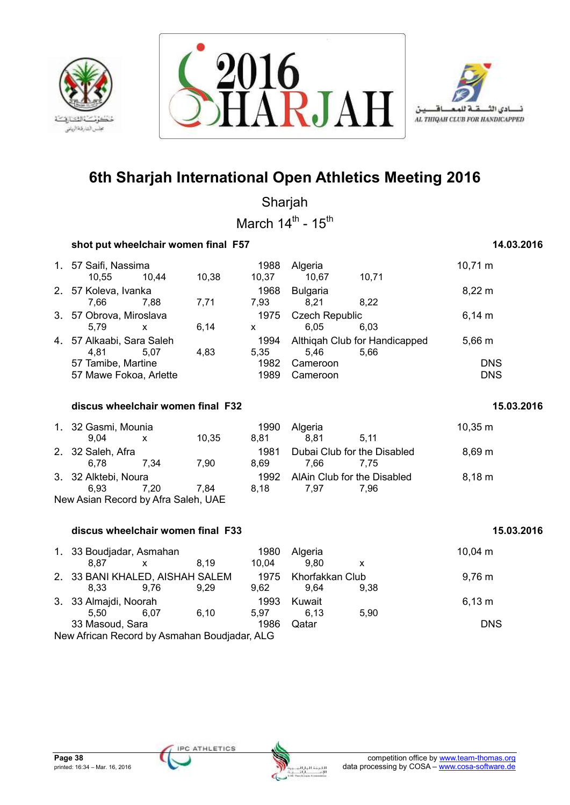





Sharjah March  $14^{\text{th}}$  -  $15^{\text{th}}$ 

| shot put wheelchair women final F57 |           |  | 14.03.2016 |
|-------------------------------------|-----------|--|------------|
|                                     | $\lambda$ |  | $\cdots$   |

| 1. 57 Saifi, Nassima      |              |       | 1988                          | Algeria                       |       | $10,71 \; \text{m}$ |
|---------------------------|--------------|-------|-------------------------------|-------------------------------|-------|---------------------|
| 10,55                     | 10.44        | 10,38 | 10,37                         | 10,67                         | 10,71 |                     |
| 2. 57 Koleva, Ivanka      |              |       | 1968                          | <b>Bulgaria</b>               |       | $8,22 \, m$         |
| 7.66                      | 7.88         | 7.71  | 7.93                          | 8.21                          | 8.22  |                     |
| 3. 57 Obrova, Miroslava   |              |       | <b>Czech Republic</b><br>1975 |                               |       | $6,14 \; m$         |
| 5.79                      | $\mathsf{x}$ | 6.14  | X                             | 6.05                          | 6.03  |                     |
| 4. 57 Alkaabi, Sara Saleh |              |       | 1994                          | Althigah Club for Handicapped |       | $5,66 \, m$         |
| 4.81                      | 5.07         | 4.83  | 5.35                          | 5.46                          | 5.66  |                     |
| 57 Tamibe, Martine        |              |       | 1982                          | Cameroon                      |       | <b>DNS</b>          |
| 57 Mawe Fokoa, Arlette    |              |       | 1989                          | Cameroon                      |       | <b>DNS</b>          |

| discus wheelchair women final F32 | 15.03.2016 |
|-----------------------------------|------------|
|-----------------------------------|------------|

| 1. 32 Gasmi, Mounia                 |      |       | 1990 | Algeria                     |      | $10,35 \; m$       |  |  |  |  |
|-------------------------------------|------|-------|------|-----------------------------|------|--------------------|--|--|--|--|
| 9.04                                | X    | 10.35 | 8.81 | 8.81                        | 5.11 |                    |  |  |  |  |
| 2. 32 Saleh, Afra                   |      |       | 1981 | Dubai Club for the Disabled |      | $8,69 \; m$        |  |  |  |  |
| 6.78                                | 7.34 | 7.90  | 8.69 | 7.66                        | 7.75 |                    |  |  |  |  |
| 3. 32 Alktebi, Noura                |      |       | 1992 | AlAin Club for the Disabled |      | $8,18 \; \text{m}$ |  |  |  |  |
| 6.93                                | 7.20 | 7.84  | 8.18 | 7.97                        | 7.96 |                    |  |  |  |  |
| New Asian Record by Afra Saleh, UAE |      |       |      |                             |      |                    |  |  |  |  |

## **discus wheelchair women final F33 15.03.2016**

| 1. 33 Boudjadar, Asmahan                     |              |      | 1980  | Algeria              |      | $10,04 \; m$ |
|----------------------------------------------|--------------|------|-------|----------------------|------|--------------|
| 8.87                                         | $\mathbf{x}$ | 8.19 | 10.04 | 9.80                 | x    |              |
| 2. 33 BANI KHALED, AISHAH SALEM              |              |      |       | 1975 Khorfakkan Club |      | $9,76 \; m$  |
| 8.33                                         | 9.76         | 9.29 | 9.62  | 9.64                 | 9.38 |              |
| 3. 33 Almajdi, Noorah                        |              |      | 1993  | Kuwait               |      | 6,13 m       |
| 5.50                                         | 6.07         | 6.10 | 5.97  | 6.13                 | 5.90 |              |
| 33 Masoud, Sara                              |              |      | 1986  | Qatar                |      | <b>DNS</b>   |
| New African Record by Asmahan Boudjadar, ALG |              |      |       |                      |      |              |

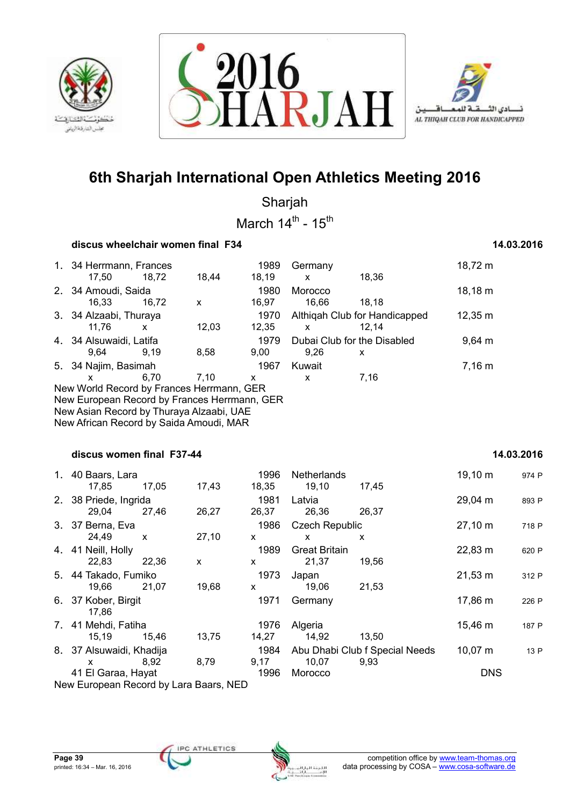





Sharjah March  $14^{\text{th}}$  -  $15^{\text{th}}$ 

### **discus wheelchair women final F34 14.03.2016**

## 1. 34 Herrmann, Frances 1989 Germany 18,72 m 17,50 18,72 18,44 18,19 x 18,36 2. 34 Amoudi, Saida 1980 Morocco 18,18 m 16,33 16,72 x 16,97 16,66 18,18 3. 34 Alzaabi, Thuraya 1970 Althiqah Club for Handicapped 12,35 m 11,76 x 12,03 12,35 x 12,14 4. 34 Alsuwaidi, Latifa 1979 Dubai Club for the Disabled 9,64 m 9,64 9,19 8,58 9,00 9,26 x 5. 34 Najim, Basimah 1967 Kuwait 7,16 m x 6,70 7,10 x x 7,16 New World Record by Frances Herrmann, GER New European Record by Frances Herrmann, GER New Asian Record by Thuraya Alzaabi, UAE New African Record by Saida Amoudi, MAR  **discus women final F37-44 14.03.2016**  1. 40 Baars, Lara 1996 Netherlands 1996 Netherlands 19,10 m 974 P 17,85 17,05 17,43 18,35 19,10 17,45 2. 38 Priede, Ingrida<br>29.04 27.46 26.27 26.37 26.36 26.37 26.37 26.37 29,04 27,46 26,27 26,37 26,36 26,37 3. 37 Berna, Eva 1986 Czech Republic 27,10 m <sup>718</sup> <sup>P</sup> 24,49 x 27,10 x x x 4. 41 Neill, Holly 1989 Great Britain 22,83 m <sup>620</sup> <sup>P</sup> 22,83 22,36 x x 21,37 19,56 5. 44 Takado, Fumiko 1973 Japan 21,53 m <sup>312</sup> <sup>P</sup> 19,66 21,07 19,68 x 19,06 21,53 6. 37 Kober, Birgit 1971 Germany 17,86 m <sup>226</sup> <sup>P</sup> 17,86 7. 41 Mehdi, Fatiha 1976 Algeria 15,46 m <sup>187</sup> <sup>P</sup> 15,19 15,46 13,75 14,27 14,92 13,50 8. 37 Alsuwaidi, Khadija 1984 Abu Dhabi Club f Special Needs 10,07 m 13 P x 8,92 8,79 9,17 10,07 9,93 41 El Garaa, Hayat 1996 Morocco DNS

New European Record by Lara Baars, NED

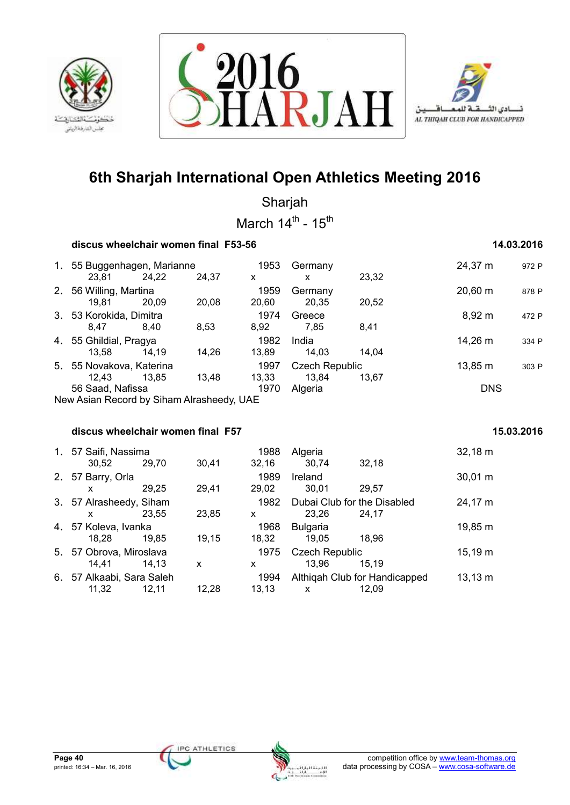





Sharjah March  $14^{\text{th}}$  -  $15^{\text{th}}$ 

### **discus wheelchair women final F53-56 14.03.2016**

| 1. | 55 Buggenhagen, Marianne                  |                        | 1953  | Germany |                       | 24,37 m      | 972 P        |       |
|----|-------------------------------------------|------------------------|-------|---------|-----------------------|--------------|--------------|-------|
|    | 23,81                                     | 24,22                  | 24,37 | x       | x                     | 23,32        |              |       |
| 2. | 56 Willing, Martina                       |                        | 1959  | Germany |                       | $20,60 \; m$ | 878 P        |       |
|    | 19.81                                     | 20.09                  | 20.08 | 20,60   | 20,35                 | 20,52        |              |       |
|    | 3. 53 Korokida, Dimitra                   |                        | 1974  | Greece  |                       | 8,92 m       | 472 P        |       |
|    | 8.47                                      | 8.40                   | 8,53  | 8,92    | 7.85                  | 8,41         |              |       |
|    |                                           | 4. 55 Ghildial, Pragya |       | 1982    | India                 |              | 14,26 m      | 334 P |
|    | 13.58                                     | 14.19                  | 14,26 | 13.89   | 14.03                 | 14.04        |              |       |
|    | 5. 55 Novakova, Katerina                  |                        |       | 1997    | <b>Czech Republic</b> |              | $13,85 \; m$ | 303 P |
|    | 12.43                                     | 13.85                  | 13,48 | 13,33   | 13,84                 | 13.67        |              |       |
|    | 56 Saad, Nafissa                          |                        |       | 1970    | Algeria               |              | <b>DNS</b>   |       |
|    | New Asian Record by Siham Alrasheedy, UAE |                        |       |         |                       |              |              |       |

### **discus wheelchair women final F57 15.03.2016** 15.03.2016

|    | 1. 57 Saifi, Nassima<br>30,52    | 29.70 | 30,41 | 1988<br>32,16 | Algeria<br>30,74                     | 32,18                                  | $32,18 \text{ m}$ |
|----|----------------------------------|-------|-------|---------------|--------------------------------------|----------------------------------------|-------------------|
|    | 2. 57 Barry, Orla<br>X           | 29.25 | 29,41 | 1989<br>29.02 | Ireland<br>30,01                     | 29,57                                  | $30,01 \; m$      |
|    | 3. 57 Alrasheedy, Siham<br>X     | 23.55 | 23,85 | 1982<br>X     | Dubai Club for the Disabled<br>23,26 | 24.17                                  | 24,17 m           |
|    | 4. 57 Koleva, Ivanka<br>18.28    | 19.85 | 19.15 | 1968<br>18.32 | <b>Bulgaria</b><br>19.05             | 18.96                                  | 19,85 m           |
|    | 5. 57 Obrova, Miroslava<br>14.41 | 14.13 | X     | 1975<br>x.    | <b>Czech Republic</b><br>13,96       | 15.19                                  | $15,19 \; m$      |
| 6. | 57 Alkaabi, Sara Saleh<br>11.32  | 12.11 | 12.28 | 1994<br>13.13 | X                                    | Althigah Club for Handicapped<br>12.09 | $13,13 \; m$      |

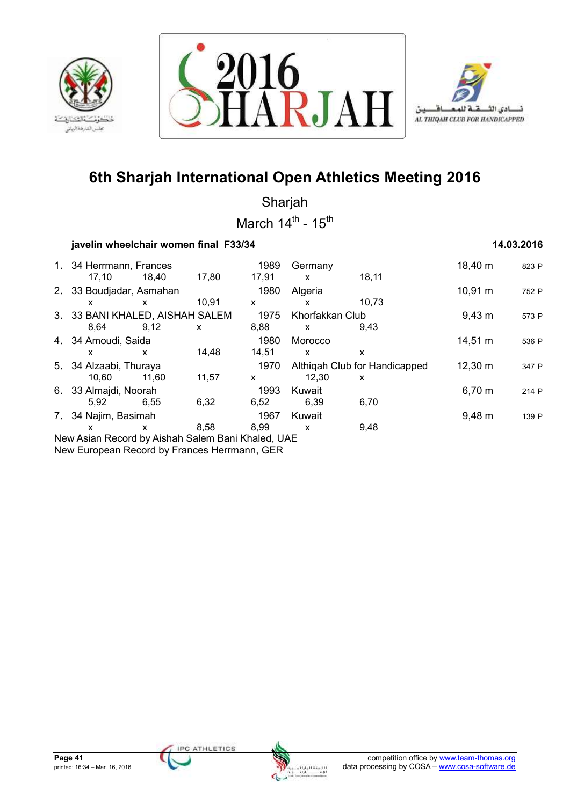





Sharjah March  $14^{\text{th}}$  -  $15^{\text{th}}$ 

## **iavelin wheelchair women final F33/34 14.03.2016 14.03.2016**

| 1. 34 Herrmann, Frances<br>17.10 | 18.40 | 17,80 | 1989<br>17,91 | Germany<br>X                  | 18,11       | 18,40 m     | 823 P |
|----------------------------------|-------|-------|---------------|-------------------------------|-------------|-------------|-------|
| 2. 33 Boudjadar, Asmahan         |       |       | 1980          | Algeria                       |             | 10,91 m     | 752 P |
| X                                | X     | 10,91 | X             | x                             | 10,73       |             |       |
| 3. 33 BANI KHALED, AISHAH SALEM  |       |       | 1975          | Khorfakkan Club               |             | $9,43 \; m$ | 573 P |
| 8.64                             | 9,12  | X     | 8,88          | X                             | 9,43        |             |       |
| 4. 34 Amoudi, Saida              |       |       | 1980          | Morocco                       |             | 14,51 m     | 536 P |
| x                                | X     | 14,48 | 14,51         | X                             | x           |             |       |
| 5. 34 Alzaabi, Thuraya<br>1970   |       |       |               | Althigah Club for Handicapped | 12,30 m     | 347 P       |       |
| 10.60                            | 11.60 | 11,57 | X             | 12.30                         | X           |             |       |
| 6. 33 Almajdi, Noorah<br>1993    |       |       | Kuwait        |                               | $6,70 \; m$ | 214 P       |       |
| 5,92                             | 6.55  | 6,32  | 6,52          | 6,39                          | 6,70        |             |       |
| 7. 34 Najim, Basimah             |       |       | 1967          | Kuwait                        |             | $9,48 \; m$ | 139 P |
| X                                | X     | 8,58  | 8.99          | X                             | 9,48        |             |       |
|                                  |       |       |               |                               |             |             |       |

New Asian Record by Aishah Salem Bani Khaled, UAE New European Record by Frances Herrmann, GER



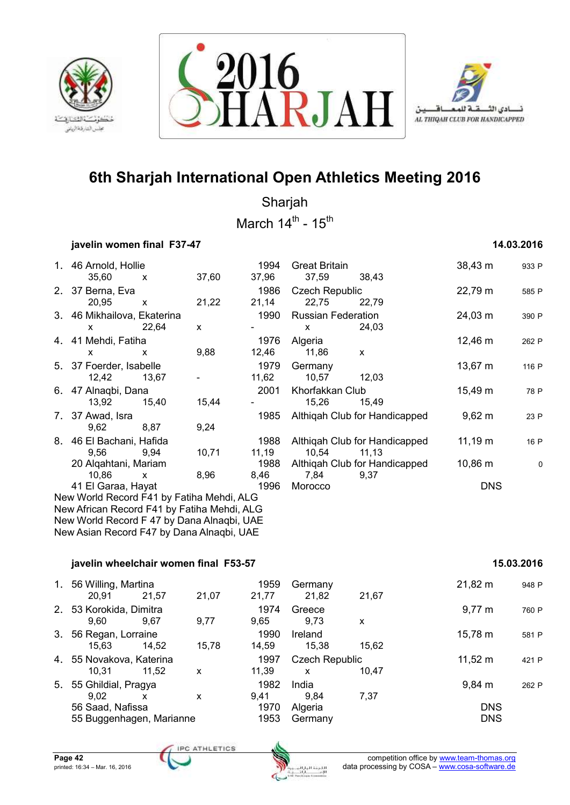





Sharjah

March  $14^{\text{th}}$  -  $15^{\text{th}}$ 

## **javelin women final F37-47 14.03.2016**

|                                                                                           | 1. 46 Arnold, Hollie                      |              |              | 1994  | <b>Great Britain</b>      |                               | 38,43 m      | 933 F |  |
|-------------------------------------------------------------------------------------------|-------------------------------------------|--------------|--------------|-------|---------------------------|-------------------------------|--------------|-------|--|
|                                                                                           | 35,60                                     | $\mathsf{x}$ | 37,60        | 37,96 | 37,59                     | 38,43                         |              |       |  |
|                                                                                           | 2. 37 Berna, Eva                          |              |              | 1986  | <b>Czech Republic</b>     |                               | 22,79 m      | 585 P |  |
|                                                                                           | 20,95                                     | $\mathsf{x}$ | 21,22        | 21,14 | 22,75                     | 22,79                         |              |       |  |
|                                                                                           | 3. 46 Mikhailova, Ekaterina               |              |              | 1990  | <b>Russian Federation</b> |                               | 24,03 m      | 390 P |  |
|                                                                                           | $\boldsymbol{\mathsf{X}}$                 | 22,64        | $\mathsf{x}$ |       | $\mathsf{x}$              | 24,03                         |              |       |  |
|                                                                                           | 4. 41 Mehdi, Fatiha                       |              |              | 1976  | Algeria                   |                               | $12,46 \; m$ | 262 P |  |
|                                                                                           | X                                         | X            | 9,88         | 12,46 | 11,86                     | $\mathsf{x}$                  |              |       |  |
|                                                                                           | 5. 37 Foerder, Isabelle                   |              |              | 1979  | Germany                   |                               | $13,67 \; m$ | 116 P |  |
|                                                                                           | 12,42                                     | 13,67        |              | 11,62 | 10,57                     | 12,03                         |              |       |  |
|                                                                                           | 6. 47 Alnaqbi, Dana                       |              |              | 2001  | Khorfakkan Club           |                               | 15,49 m      | 78 P  |  |
|                                                                                           | 13,92                                     | 15,40        | 15,44        |       | 15,26                     | 15,49                         |              |       |  |
|                                                                                           | 7. 37 Awad, Isra                          |              |              | 1985  |                           | Althigah Club for Handicapped | $9,62 \; m$  | 23 P  |  |
|                                                                                           | 9,62                                      | 8,87         | 9,24         |       |                           |                               |              |       |  |
|                                                                                           | 8. 46 El Bachani, Hafida                  |              |              | 1988  |                           | Althiqah Club for Handicapped | $11,19 \; m$ | 16 P  |  |
|                                                                                           | 9,56                                      | 9,94         | 10,71        | 11,19 | 10,54                     | 11, 13                        |              |       |  |
|                                                                                           | 20 Algahtani, Mariam                      |              |              | 1988  |                           | Althigah Club for Handicapped | $10,86 \; m$ | C     |  |
|                                                                                           | 10,86                                     | $\mathsf{x}$ | 8,96         | 8,46  | 7,84                      | 9,37                          |              |       |  |
|                                                                                           | 41 El Garaa, Hayat                        |              |              | 1996  | Morocco                   |                               | <b>DNS</b>   |       |  |
|                                                                                           | New World Record F41 by Fatiha Mehdi, ALG |              |              |       |                           |                               |              |       |  |
| New African Record F41 by Fatiha Mehdi, ALG<br>New World Record F 47 by Dana Alnaqbi, UAE |                                           |              |              |       |                           |                               |              |       |  |
|                                                                                           | New Asian Record F47 by Dana Alnagbi, UAE |              |              |       |                           |                               |              |       |  |
|                                                                                           |                                           |              |              |       |                           |                               |              |       |  |

### **javelin wheelchair women final F53-57 15.03.2016**

| 37,59                     | 38,43                                 |              |       |
|---------------------------|---------------------------------------|--------------|-------|
| <b>Czech Republic</b>     |                                       | 22,79 m      | 585 P |
| 22,75                     | 22,79                                 |              |       |
| <b>Russian Federation</b> |                                       | 24,03 m      | 390 P |
| x                         | 24,03                                 |              |       |
| Algeria                   |                                       | 12,46 m      | 262 P |
| 11,86                     | x                                     |              |       |
| Germany                   |                                       | 13,67 m      | 116 P |
| 10,57                     | 12,03                                 |              |       |
| Khorfakkan Club           |                                       | 15,49 m      | 78 P  |
|                           | 15,49                                 |              |       |
|                           | Althigah Club for Handicapped         | $9,62 \; m$  | 23 P  |
|                           |                                       |              |       |
|                           | Althigah Club for Handicapped         | $11,19 \; m$ | 16 P  |
| 10.54                     | 11,13                                 |              |       |
| 7.84                      | Althigah Club for Handicapped<br>9.37 | 10,86 m      | 0     |
| Morocco                   |                                       | NNS          |       |

### 1. 56 Willing, Martina **1959** Germany 1959 Germany 21,82 m 948 P 20,91 21,57 21,07 21,77 21,82 21,67 2. 53 Korokida, Dimitra 1974 Greece 9,77 m <sup>760</sup> <sup>P</sup> 9,60 9,67 9,77 9,65 9,73 x 3. 56 Regan, Lorraine 1990 Ireland 1990 Ireland 15,78 m 581 P 15,63 14,52 15,78 14,59 15,38 15,62 4. 55 Novakova, Katerina 1997 Czech Republic 11,52 m <sup>421</sup> <sup>P</sup> 10,31 11,52 x 11,39 x 10,47 5. 55 Ghildial, Pragya 1982 India 9,84 m <sup>262</sup> <sup>P</sup> 9,02 x x 9,41 9,84 7,37 56 Saad, Nafissa 1970 Algeria DNS 55 Buggenhagen, Marianne 1953 Germany DNS